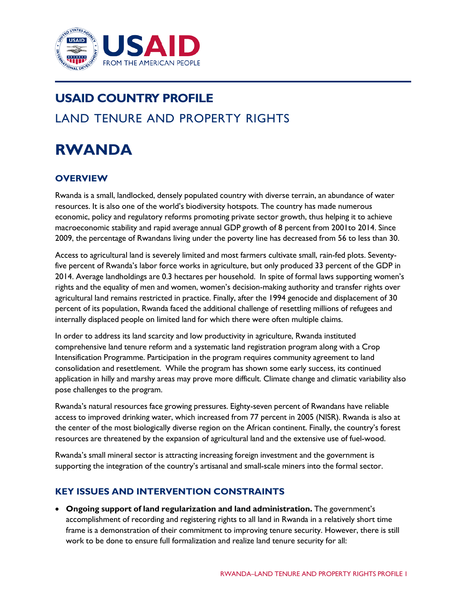

# **USAID COUNTRY PROFILE** LAND TENURE AND PROPERTY RIGHTS

# **RWANDA**

# **OVERVIEW**

Rwanda is a small, landlocked, densely populated country with diverse terrain, an abundance of water resources. It is also one of the world's biodiversity hotspots. The country has made numerous economic, policy and regulatory reforms promoting private sector growth, thus helping it to achieve macroeconomic stability and rapid average annual GDP growth of 8 percent from 2001to 2014. Since 2009, the percentage of Rwandans living under the poverty line has decreased from 56 to less than 30.

Access to agricultural land is severely limited and most farmers cultivate small, rain-fed plots. Seventyfive percent of Rwanda's labor force works in agriculture, but only produced 33 percent of the GDP in 2014. Average landholdings are 0.3 hectares per household. In spite of formal laws supporting women's rights and the equality of men and women, women's decision-making authority and transfer rights over agricultural land remains restricted in practice. Finally, after the 1994 genocide and displacement of 30 percent of its population, Rwanda faced the additional challenge of resettling millions of refugees and internally displaced people on limited land for which there were often multiple claims.

In order to address its land scarcity and low productivity in agriculture, Rwanda instituted comprehensive land tenure reform and a systematic land registration program along with a Crop Intensification Programme. Participation in the program requires community agreement to land consolidation and resettlement. While the program has shown some early success, its continued application in hilly and marshy areas may prove more difficult. Climate change and climatic variability also pose challenges to the program.

Rwanda's natural resources face growing pressures. Eighty-seven percent of Rwandans have reliable access to improved drinking water, which increased from 77 percent in 2005 (NISR). Rwanda is also at the center of the most biologically diverse region on the African continent. Finally, the country's forest resources are threatened by the expansion of agricultural land and the extensive use of fuel-wood.

Rwanda's small mineral sector is attracting increasing foreign investment and the government is supporting the integration of the country's artisanal and small-scale miners into the formal sector.

## **KEY ISSUES AND INTERVENTION CONSTRAINTS**

• **Ongoing support of land regularization and land administration.** The government's accomplishment of recording and registering rights to all land in Rwanda in a relatively short time frame is a demonstration of their commitment to improving tenure security. However, there is still work to be done to ensure full formalization and realize land tenure security for all: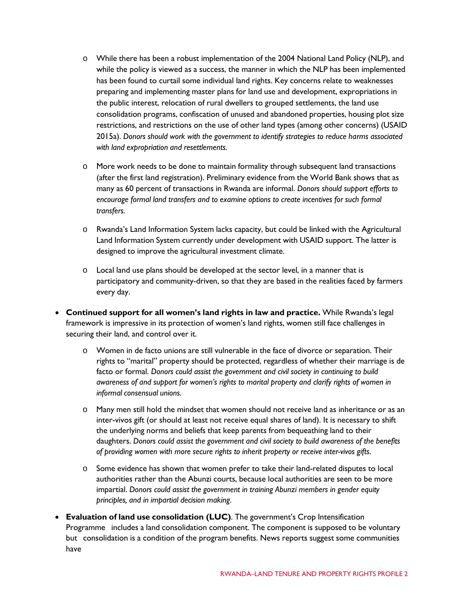- o While there has been a robust implementation of the 2004 National Land Policy (NLP), and while the policy is viewed as a success, the manner in which the NLP has been implemented has been found to curtail some individual land rights. Key concerns relate to weaknesses preparing and implementing master plans for land use and development, expropriations in the public interest, relocation of rural dwellers to grouped settlements, the land use consolidation programs, confiscation of unused and abandoned properties, housing plot size restrictions, and restrictions on the use of other land types (among other concerns) (USAID 2015a). *Donors should work with the government to identify strategies to reduce harms associated with land expropriation and resettlements.*
- o More work needs to be done to maintain formality through subsequent land transactions (after the first land registration). Preliminary evidence from the World Bank shows that as many as 60 percent of transactions in Rwanda are informal. *Donors should support efforts to encourage formal land transfers and to examine options to create incentives for such formal transfers.*
- o Rwanda's Land Information System lacks capacity, but could be linked with the Agricultural Land Information System currently under development with USAID support. The latter is designed to improve the agricultural investment climate.
- o Local land use plans should be developed at the sector level, in a manner that is participatory and community-driven, so that they are based in the realities faced by farmers every day.
- **Continued support for all women's land rights in law and practice.** While Rwanda's legal framework is impressive in its protection of women's land rights, women still face challenges in securing their land, and control over it.
	- o Women in de facto unions are still vulnerable in the face of divorce or separation. Their rights to "marital" property should be protected, regardless of whether their marriage is de facto or formal. *Donors could assist the government and civil society in continuing to build awareness of and support for women's rights to marital property and clarify rights of women in informal consensual unions.*
	- o Many men still hold the mindset that women should not receive land as inheritance or as an inter-vivos gift (or should at least not receive equal shares of land). It is necessary to shift the underlying norms and beliefs that keep parents from bequeathing land to their daughters. *Donors could assist the government and civil society to build awareness of the benefits of providing women with more secure rights to inherit property or receive inter-vivos gifts*.
	- o Some evidence has shown that women prefer to take their land-related disputes to local authorities rather than the Abunzi courts, because local authorities are seen to be more impartial. *Donors could assist the government in training Abunzi members in gender equity principles, and in impartial decision making*.
- **Evaluation of land use consolidation (LUC)**. The government's Crop Intensification Programme includes a land consolidation component. The component is supposed to be voluntary but consolidation is a condition of the program benefits. News reports suggest some communities have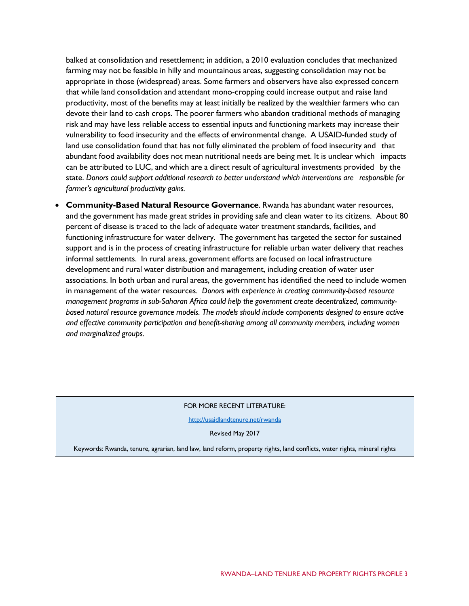balked at consolidation and resettlement; in addition, a 2010 evaluation concludes that mechanized farming may not be feasible in hilly and mountainous areas, suggesting consolidation may not be appropriate in those (widespread) areas. Some farmers and observers have also expressed concern that while land consolidation and attendant mono-cropping could increase output and raise land productivity, most of the benefits may at least initially be realized by the wealthier farmers who can devote their land to cash crops. The poorer farmers who abandon traditional methods of managing risk and may have less reliable access to essential inputs and functioning markets may increase their vulnerability to food insecurity and the effects of environmental change. A USAID-funded study of land use consolidation found that has not fully eliminated the problem of food insecurity and that abundant food availability does not mean nutritional needs are being met. It is unclear which impacts can be attributed to LUC, and which are a direct result of agricultural investments provided by the state. *Donors could support additional research to better understand which interventions are responsible for farmer's agricultural productivity gains.*

• **Community-Based Natural Resource Governance**. Rwanda has abundant water resources, and the government has made great strides in providing safe and clean water to its citizens. About 80 percent of disease is traced to the lack of adequate water treatment standards, facilities, and functioning infrastructure for water delivery. The government has targeted the sector for sustained support and is in the process of creating infrastructure for reliable urban water delivery that reaches informal settlements. In rural areas, government efforts are focused on local infrastructure development and rural water distribution and management, including creation of water user associations. In both urban and rural areas, the government has identified the need to include women in management of the water resources. *Donors with experience in creating community-based resource management programs in sub-Saharan Africa could help the government create decentralized, communitybased natural resource governance models. The models should include components designed to ensure active and effective community participation and benefit-sharing among all community members, including women and marginalized groups.*

#### FOR MORE RECENT LITERATURE:

<http://usaidlandtenure.net/rwanda>

Revised May 2017

Keywords: Rwanda, tenure, agrarian, land law, land reform, property rights, land conflicts, water rights, mineral rights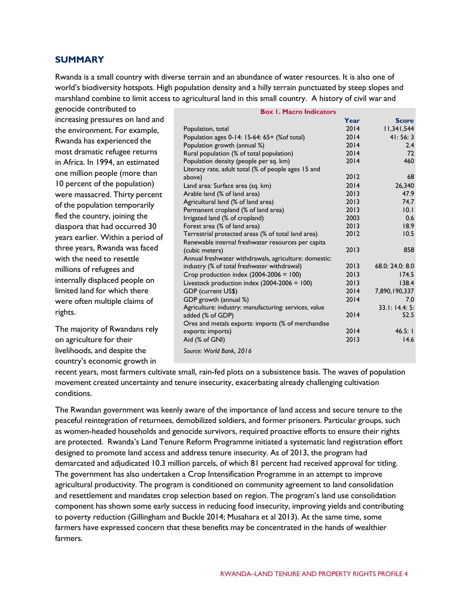### **SUMMARY**

Rwanda is a small country with diverse terrain and an abundance of water resources. It is also one of world's biodiversity hotspots. High population density and a hilly terrain punctuated by steep slopes and marshland combine to limit access to agricultural land in this small country. A history of civil war and

| genocide contributed to           |
|-----------------------------------|
| increasing pressures on land and  |
| the environment. For example,     |
| Rwanda has experienced the        |
| most dramatic refugee returns     |
| in Africa. In 1994, an estimated  |
| one million people (more than     |
| 10 percent of the population)     |
| were massacred. Thirty percent    |
| of the population temporarily     |
| fled the country, joining the     |
| diaspora that had occurred 30     |
| years earlier. Within a period of |
| three years, Rwanda was faced     |
| with the need to resettle         |
| millions of refugees and          |
| internally displaced people on    |
| limited land for which there      |
| were often multiple claims of     |
| rights.                           |
|                                   |

The majority of Rwandans rely on agriculture for their livelihoods, and despite the country's economic growth in

| <b>Box 1. Macro Indicators</b>                        |      |                 |  |  |
|-------------------------------------------------------|------|-----------------|--|--|
|                                                       | Year | <b>Score</b>    |  |  |
| Population, total                                     | 2014 | 11,341,544      |  |  |
| Population ages 0-14: 15-64: 65+ (% of total)         | 2014 | 41:56:3         |  |  |
| Population growth (annual %)                          | 2014 | 2.4             |  |  |
| Rural population (% of total population)              | 2014 | 72              |  |  |
| Population density (people per sq. km)                | 2014 | 460             |  |  |
| Literacy rate, adult total (% of people ages 15 and   |      |                 |  |  |
| above)                                                | 2012 | 68              |  |  |
| Land area: Surface area (sq. km)                      | 2014 | 26,340          |  |  |
| Arable land (% of land area)                          | 2013 | 47.9            |  |  |
| Agricultural land (% of land area)                    | 2013 | 74.7            |  |  |
| Permanent cropland (% of land area)                   | 2013 | 10.1            |  |  |
| Irrigated land (% of cropland)                        | 2003 | 0.6             |  |  |
| Forest area (% of land area)                          | 2013 | 18.9            |  |  |
| Terrestrial protected areas (% of total land area)    | 2012 | 10.5            |  |  |
| Renewable internal freshwater resources per capita    |      |                 |  |  |
| (cubic meters)                                        | 2013 | 858             |  |  |
| Annual freshwater withdrawals, agriculture: domestic: |      |                 |  |  |
| industry (% of total freshwater withdrawal)           | 2013 | 68.0: 24.0: 8.0 |  |  |
| Crop production index $(2004-2006 = 100)$             | 2013 | 174.5           |  |  |
| Livestock production index $(2004-2006 = 100)$        | 2013 | 138.4           |  |  |
| GDP (current US\$)                                    | 2014 | 7,890,190,337   |  |  |
| GDP growth (annual %)                                 | 2014 | 7.0             |  |  |
| Agriculture: industry: manufacturing: services, value |      | 33.1: 14.4: 5:  |  |  |
| added (% of GDP)                                      | 2014 | 52.5            |  |  |
| Ores and metals exports: imports (% of merchandise    |      |                 |  |  |
| exports: imports)                                     | 2014 | 46.5:1          |  |  |
| Aid (% of GNI)                                        | 2013 | 14.6            |  |  |
| Source: World Bank, 2016                              |      |                 |  |  |
|                                                       |      |                 |  |  |

recent years, most farmers cultivate small, rain-fed plots on a subsistence basis. The waves of population movement created uncertainty and tenure insecurity, exacerbating already challenging cultivation conditions.

The Rwandan government was keenly aware of the importance of land access and secure tenure to the peaceful reintegration of returnees, demobilized soldiers, and former prisoners. Particular groups, such as women-headed households and genocide survivors, required proactive efforts to ensure their rights are protected. Rwanda's Land Tenure Reform Programme initiated a systematic land registration effort designed to promote land access and address tenure insecurity. As of 2013, the program had demarcated and adjudicated 10.3 million parcels, of which 81 percent had received approval for titling. The government has also undertaken a Crop Intensification Programme in an attempt to improve agricultural productivity. The program is conditioned on community agreement to land consolidation and resettlement and mandates crop selection based on region. The program's land use consolidation component has shown some early success in reducing food insecurity, improving yields and contributing to poverty reduction (Gillingham and Buckle 2014; Musahara et al 2013). At the same time, some farmers have expressed concern that these benefits may be concentrated in the hands of wealthier farmers.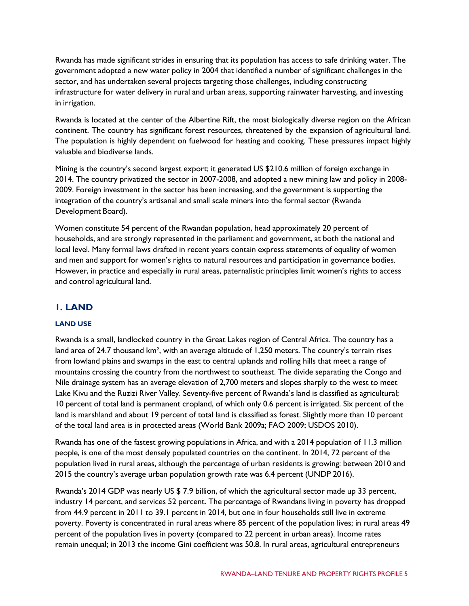Rwanda has made significant strides in ensuring that its population has access to safe drinking water. The government adopted a new water policy in 2004 that identified a number of significant challenges in the sector, and has undertaken several projects targeting those challenges, including constructing infrastructure for water delivery in rural and urban areas, supporting rainwater harvesting, and investing in irrigation.

Rwanda is located at the center of the Albertine Rift, the most biologically diverse region on the African continent. The country has significant forest resources, threatened by the expansion of agricultural land. The population is highly dependent on fuelwood for heating and cooking. These pressures impact highly valuable and biodiverse lands.

Mining is the country's second largest export; it generated US \$210.6 million of foreign exchange in 2014. The country privatized the sector in 2007-2008, and adopted a new mining law and policy in 2008- 2009. Foreign investment in the sector has been increasing, and the government is supporting the integration of the country's artisanal and small scale miners into the formal sector (Rwanda Development Board).

Women constitute 54 percent of the Rwandan population, head approximately 20 percent of households, and are strongly represented in the parliament and government, at both the national and local level. Many formal laws drafted in recent years contain express statements of equality of women and men and support for women's rights to natural resources and participation in governance bodies. However, in practice and especially in rural areas, paternalistic principles limit women's rights to access and control agricultural land.

# **1. LAND**

### **LAND USE**

Rwanda is a small, landlocked country in the Great Lakes region of Central Africa. The country has a land area of 24.7 thousand km<sup>2</sup>, with an average altitude of 1,250 meters. The country's terrain rises from lowland plains and swamps in the east to central uplands and rolling hills that meet a range of mountains crossing the country from the northwest to southeast. The divide separating the Congo and Nile drainage system has an average elevation of 2,700 meters and slopes sharply to the west to meet Lake Kivu and the Ruzizi River Valley. Seventy-five percent of Rwanda's land is classified as agricultural; 10 percent of total land is permanent cropland, of which only 0.6 percent is irrigated. Six percent of the land is marshland and about 19 percent of total land is classified as forest. Slightly more than 10 percent of the total land area is in protected areas (World Bank 2009a; FAO 2009; USDOS 2010).

Rwanda has one of the fastest growing populations in Africa, and with a 2014 population of 11.3 million people, is one of the most densely populated countries on the continent. In 2014, 72 percent of the population lived in rural areas, although the percentage of urban residents is growing: between 2010 and 2015 the country's average urban population growth rate was 6.4 percent (UNDP 2016).

Rwanda's 2014 GDP was nearly US \$ 7.9 billion, of which the agricultural sector made up 33 percent, industry 14 percent, and services 52 percent. The percentage of Rwandans living in poverty has dropped from 44.9 percent in 2011 to 39.1 percent in 2014, but one in four households still live in extreme poverty. Poverty is concentrated in rural areas where 85 percent of the population lives; in rural areas 49 percent of the population lives in poverty (compared to 22 percent in urban areas). Income rates remain unequal; in 2013 the income Gini coefficient was 50.8. In rural areas, agricultural entrepreneurs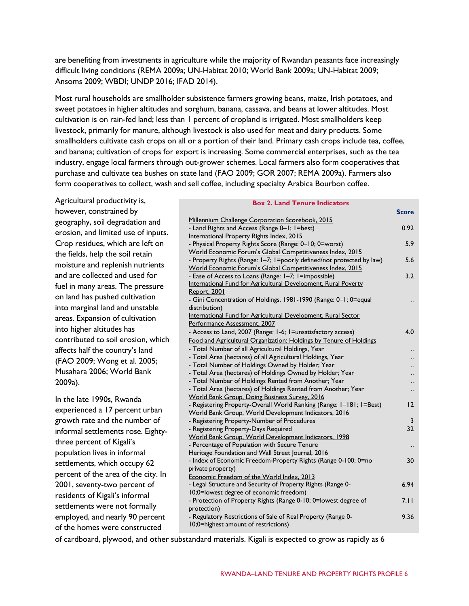are benefiting from investments in agriculture while the majority of Rwandan peasants face increasingly difficult living conditions (REMA 2009a; UN-Habitat 2010; World Bank 2009a; UN-Habitat 2009; Ansoms 2009; WBDI; UNDP 2016; IFAD 2014).

Most rural households are smallholder subsistence farmers growing beans, maize, Irish potatoes, and sweet potatoes in higher altitudes and sorghum, banana, cassava, and beans at lower altitudes. Most cultivation is on rain-fed land; less than 1 percent of cropland is irrigated. Most smallholders keep livestock, primarily for manure, although livestock is also used for meat and dairy products. Some smallholders cultivate cash crops on all or a portion of their land. Primary cash crops include tea, coffee, and banana; cultivation of crops for export is increasing. Some commercial enterprises, such as the tea industry, engage local farmers through out-grower schemes. Local farmers also form cooperatives that purchase and cultivate tea bushes on state land (FAO 2009; GOR 2007; REMA 2009a). Farmers also form cooperatives to collect, wash and sell coffee, including specialty Arabica Bourbon coffee.

Agricultural productivity is,

**Box 2. Land Tenure Indicators**

| however, constrained by             |                                                                                                                                    | <b>Score</b>         |
|-------------------------------------|------------------------------------------------------------------------------------------------------------------------------------|----------------------|
| geography, soil degradation and     | Millennium Challenge Corporation Scorebook, 2015                                                                                   |                      |
|                                     | - Land Rights and Access (Range 0-1; 1=best)                                                                                       | 0.92                 |
| erosion, and limited use of inputs. | International Property Rights Index, 2015                                                                                          |                      |
| Crop residues, which are left on    | - Physical Property Rights Score (Range: 0-10; 0=worst)                                                                            | 5.9                  |
| the fields, help the soil retain    | World Economic Forum's Global Competitiveness Index, 2015                                                                          |                      |
| moisture and replenish nutrients    | - Property Rights (Range: 1-7; 1=poorly defined/not protected by law)<br>World Economic Forum's Global Competitiveness Index, 2015 | 5.6                  |
| and are collected and used for      | - Ease of Access to Loans (Range: 1-7; 1=impossible)                                                                               | 3.2                  |
| fuel in many areas. The pressure    | International Fund for Agricultural Development, Rural Poverty                                                                     |                      |
|                                     | Report, 2001                                                                                                                       |                      |
| on land has pushed cultivation      | - Gini Concentration of Holdings, 1981-1990 (Range: 0-1; 0=equal                                                                   |                      |
| into marginal land and unstable     | distribution)                                                                                                                      |                      |
| areas. Expansion of cultivation     | International Fund for Agricultural Development, Rural Sector                                                                      |                      |
| into higher altitudes has           | Performance Assessment, 2007<br>- Access to Land, 2007 (Range: 1-6; 1=unsatisfactory access)                                       | 4.0                  |
| contributed to soil erosion, which  | Food and Agricultural Organization: Holdings by Tenure of Holdings                                                                 |                      |
| affects half the country's land     | - Total Number of all Agricultural Holdings, Year                                                                                  | $\ddot{\phantom{0}}$ |
|                                     | - Total Area (hectares) of all Agricultural Holdings, Year                                                                         |                      |
| (FAO 2009; Wong et al. 2005;        | - Total Number of Holdings Owned by Holder; Year                                                                                   |                      |
| Musahara 2006; World Bank           | - Total Area (hectares) of Holdings Owned by Holder; Year                                                                          |                      |
| 2009a).                             | - Total Number of Holdings Rented from Another; Year                                                                               |                      |
|                                     | - Total Area (hectares) of Holdings Rented from Another; Year                                                                      |                      |
| In the late 1990s, Rwanda           | <b>World Bank Group, Doing Business Survey, 2016</b><br>- Registering Property-Overall World Ranking (Range: 1-181; 1=Best)        | 12                   |
| experienced a 17 percent urban      | World Bank Group, World Development Indicators, 2016                                                                               |                      |
| growth rate and the number of       | - Registering Property-Number of Procedures                                                                                        | 3                    |
| informal settlements rose. Eighty-  | - Registering Property-Days Required                                                                                               | 32                   |
| three percent of Kigali's           | World Bank Group, World Development Indicators, 1998                                                                               |                      |
|                                     | - Percentage of Population with Secure Tenure                                                                                      |                      |
| population lives in informal        | Heritage Foundation and Wall Street Journal, 2016<br>- Index of Economic Freedom-Property Rights (Range 0-100; 0=no                | 30                   |
| settlements, which occupy 62        | private property)                                                                                                                  |                      |
| percent of the area of the city. In | Economic Freedom of the World Index, 2013                                                                                          |                      |
| 2001, seventy-two percent of        | - Legal Structure and Security of Property Rights (Range 0-                                                                        | 6.94                 |
| residents of Kigali's informal      | 10;0=lowest degree of economic freedom)                                                                                            |                      |
| settlements were not formally       | - Protection of Property Rights (Range 0-10; 0=lowest degree of                                                                    | 7.11                 |
|                                     | protection)<br>- Regulatory Restrictions of Sale of Real Property (Range 0-                                                        | 9.36                 |
| employed, and nearly 90 percent     | 10;0=highest amount of restrictions)                                                                                               |                      |
| of the homes were constructed       |                                                                                                                                    |                      |

of cardboard, plywood, and other substandard materials. Kigali is expected to grow as rapidly as 6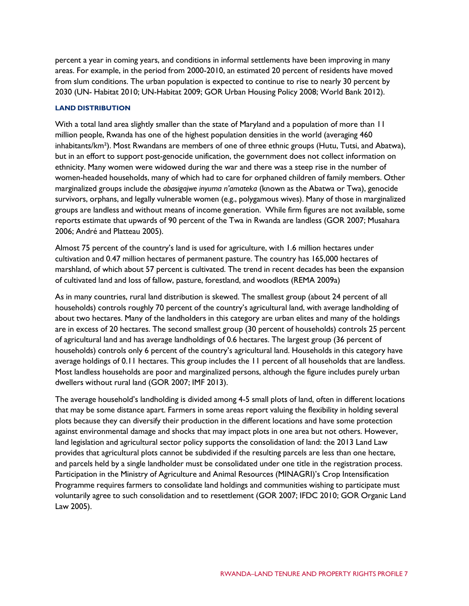percent a year in coming years, and conditions in informal settlements have been improving in many areas. For example, in the period from 2000-2010, an estimated 20 percent of residents have moved from slum conditions. The urban population is expected to continue to rise to nearly 30 percent by 2030 (UN- Habitat 2010; UN-Habitat 2009; GOR Urban Housing Policy 2008; World Bank 2012).

#### **LAND DISTRIBUTION**

With a total land area slightly smaller than the state of Maryland and a population of more than 11 million people, Rwanda has one of the highest population densities in the world (averaging 460 inhabitants/km²). Most Rwandans are members of one of three ethnic groups (Hutu, Tutsi, and Abatwa), but in an effort to support post-genocide unification, the government does not collect information on ethnicity. Many women were widowed during the war and there was a steep rise in the number of women-headed households, many of which had to care for orphaned children of family members. Other marginalized groups include the *abasigajwe inyuma n'amateka* (known as the Abatwa or Twa), genocide survivors, orphans, and legally vulnerable women (e.g., polygamous wives). Many of those in marginalized groups are landless and without means of income generation. While firm figures are not available, some reports estimate that upwards of 90 percent of the Twa in Rwanda are landless (GOR 2007; Musahara 2006; André and Platteau 2005).

Almost 75 percent of the country's land is used for agriculture, with 1.6 million hectares under cultivation and 0.47 million hectares of permanent pasture. The country has 165,000 hectares of marshland, of which about 57 percent is cultivated. The trend in recent decades has been the expansion of cultivated land and loss of fallow, pasture, forestland, and woodlots (REMA 2009a)

As in many countries, rural land distribution is skewed. The smallest group (about 24 percent of all households) controls roughly 70 percent of the country's agricultural land, with average landholding of about two hectares. Many of the landholders in this category are urban elites and many of the holdings are in excess of 20 hectares. The second smallest group (30 percent of households) controls 25 percent of agricultural land and has average landholdings of 0.6 hectares. The largest group (36 percent of households) controls only 6 percent of the country's agricultural land. Households in this category have average holdings of 0.11 hectares. This group includes the 11 percent of all households that are landless. Most landless households are poor and marginalized persons, although the figure includes purely urban dwellers without rural land (GOR 2007; IMF 2013).

The average household's landholding is divided among 4-5 small plots of land, often in different locations that may be some distance apart. Farmers in some areas report valuing the flexibility in holding several plots because they can diversify their production in the different locations and have some protection against environmental damage and shocks that may impact plots in one area but not others. However, land legislation and agricultural sector policy supports the consolidation of land: the 2013 Land Law provides that agricultural plots cannot be subdivided if the resulting parcels are less than one hectare, and parcels held by a single landholder must be consolidated under one title in the registration process. Participation in the Ministry of Agriculture and Animal Resources (MINAGRI)'s Crop Intensification Programme requires farmers to consolidate land holdings and communities wishing to participate must voluntarily agree to such consolidation and to resettlement (GOR 2007; IFDC 2010; GOR Organic Land Law 2005).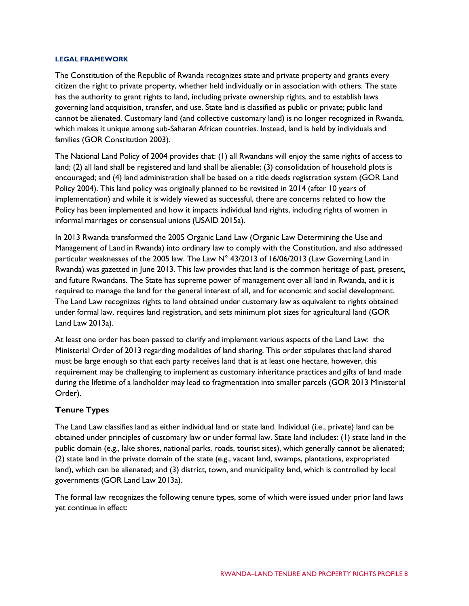#### **LEGAL FRAMEWORK**

The Constitution of the Republic of Rwanda recognizes state and private property and grants every citizen the right to private property, whether held individually or in association with others. The state has the authority to grant rights to land, including private ownership rights, and to establish laws governing land acquisition, transfer, and use. State land is classified as public or private; public land cannot be alienated. Customary land (and collective customary land) is no longer recognized in Rwanda, which makes it unique among sub-Saharan African countries. Instead, land is held by individuals and families (GOR Constitution 2003).

The National Land Policy of 2004 provides that: (1) all Rwandans will enjoy the same rights of access to land; (2) all land shall be registered and land shall be alienable; (3) consolidation of household plots is encouraged; and (4) land administration shall be based on a title deeds registration system (GOR Land Policy 2004). This land policy was originally planned to be revisited in 2014 (after 10 years of implementation) and while it is widely viewed as successful, there are concerns related to how the Policy has been implemented and how it impacts individual land rights, including rights of women in informal marriages or consensual unions (USAID 2015a).

In 2013 Rwanda transformed the 2005 Organic Land Law (Organic Law Determining the Use and Management of Land in Rwanda) into ordinary law to comply with the Constitution, and also addressed particular weaknesses of the 2005 law. The Law N° 43/2013 of 16/06/2013 (Law Governing Land in Rwanda) was gazetted in June 2013. This law provides that land is the common heritage of past, present, and future Rwandans. The State has supreme power of management over all land in Rwanda, and it is required to manage the land for the general interest of all, and for economic and social development. The Land Law recognizes rights to land obtained under customary law as equivalent to rights obtained under formal law, requires land registration, and sets minimum plot sizes for agricultural land (GOR Land Law 2013a).

At least one order has been passed to clarify and implement various aspects of the Land Law: the Ministerial Order of 2013 regarding modalities of land sharing. This order stipulates that land shared must be large enough so that each party receives land that is at least one hectare, however, this requirement may be challenging to implement as customary inheritance practices and gifts of land made during the lifetime of a landholder may lead to fragmentation into smaller parcels (GOR 2013 Ministerial Order).

#### **Tenure Types**

The Land Law classifies land as either individual land or state land. Individual (i.e., private) land can be obtained under principles of customary law or under formal law. State land includes: (1) state land in the public domain (e.g., lake shores, national parks, roads, tourist sites), which generally cannot be alienated; (2) state land in the private domain of the state (e.g., vacant land, swamps, plantations, expropriated land), which can be alienated; and (3) district, town, and municipality land, which is controlled by local governments (GOR Land Law 2013a).

The formal law recognizes the following tenure types, some of which were issued under prior land laws yet continue in effect: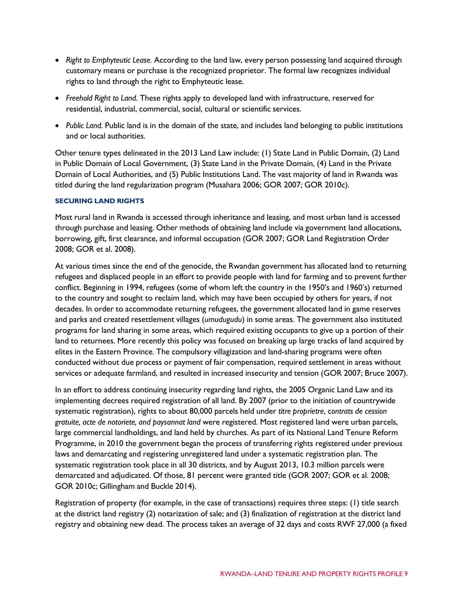- *Right to Emphyteutic Lease.* According to the land law, every person possessing land acquired through customary means or purchase is the recognized proprietor. The formal law recognizes individual rights to land through the right to Emphyteutic lease.
- *Freehold Right to Land.* These rights apply to developed land with infrastructure, reserved for residential, industrial, commercial, social, cultural or scientific services.
- *Public Land.* Public land is in the domain of the state, and includes land belonging to public institutions and or local authorities.

Other tenure types delineated in the 2013 Land Law include: (1) State Land in Public Domain, (2) Land in Public Domain of Local Government, (3) State Land in the Private Domain, (4) Land in the Private Domain of Local Authorities, and (5) Public Institutions Land. The vast majority of land in Rwanda was titled during the land regularization program (Musahara 2006; GOR 2007; GOR 2010c).

#### **SECURING LAND RIGHTS**

Most rural land in Rwanda is accessed through inheritance and leasing, and most urban land is accessed through purchase and leasing. Other methods of obtaining land include via government land allocations, borrowing, gift, first clearance, and informal occupation (GOR 2007; GOR Land Registration Order 2008; GOR et al. 2008).

At various times since the end of the genocide, the Rwandan government has allocated land to returning refugees and displaced people in an effort to provide people with land for farming and to prevent further conflict. Beginning in 1994, refugees (some of whom left the country in the 1950's and 1960's) returned to the country and sought to reclaim land, which may have been occupied by others for years, if not decades. In order to accommodate returning refugees, the government allocated land in game reserves and parks and created resettlement villages (*umudugudu*) in some areas. The government also instituted programs for land sharing in some areas, which required existing occupants to give up a portion of their land to returnees. More recently this policy was focused on breaking up large tracks of land acquired by elites in the Eastern Province. The compulsory villagization and land-sharing programs were often conducted without due process or payment of fair compensation, required settlement in areas without services or adequate farmland, and resulted in increased insecurity and tension (GOR 2007; Bruce 2007).

In an effort to address continuing insecurity regarding land rights, the 2005 Organic Land Law and its implementing decrees required registration of all land. By 2007 (prior to the initiation of countrywide systematic registration), rights to about 80,000 parcels held under *titre proprietre*, c*ontrats de cession gratuite, acte de notoriete, and paysannat land* were registered. Most registered land were urban parcels, large commercial landholdings, and land held by churches. As part of its National Land Tenure Reform Programme, in 2010 the government began the process of transferring rights registered under previous laws and demarcating and registering unregistered land under a systematic registration plan. The systematic registration took place in all 30 districts, and by August 2013, 10.3 million parcels were demarcated and adjudicated. Of those, 81 percent were granted title (GOR 2007; GOR et al. 2008; GOR 2010c; Gillingham and Buckle 2014).

Registration of property (for example, in the case of transactions) requires three steps: (1) title search at the district land registry (2) notarization of sale; and (3) finalization of registration at the district land registry and obtaining new dead. The process takes an average of 32 days and costs RWF 27,000 (a fixed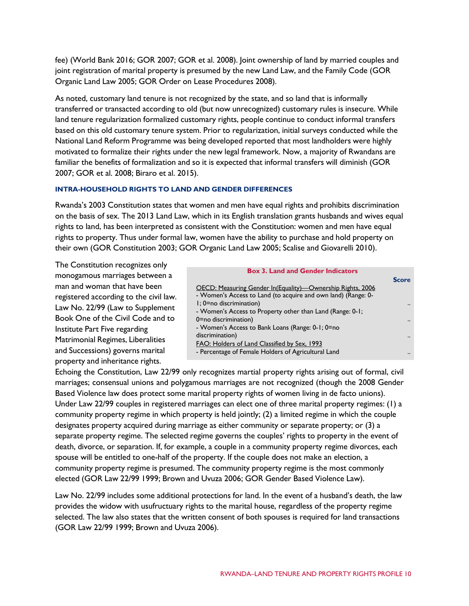fee) (World Bank 2016; GOR 2007; GOR et al. 2008). Joint ownership of land by married couples and joint registration of marital property is presumed by the new Land Law, and the Family Code (GOR Organic Land Law 2005; GOR Order on Lease Procedures 2008).

As noted, customary land tenure is not recognized by the state, and so land that is informally transferred or transacted according to old (but now unrecognized) customary rules is insecure. While land tenure regularization formalized customary rights, people continue to conduct informal transfers based on this old customary tenure system. Prior to regularization, initial surveys conducted while the National Land Reform Programme was being developed reported that most landholders were highly motivated to formalize their rights under the new legal framework. Now, a majority of Rwandans are familiar the benefits of formalization and so it is expected that informal transfers will diminish (GOR 2007; GOR et al. 2008; Biraro et al. 2015).

#### **INTRA-HOUSEHOLD RIGHTS TO LAND AND GENDER DIFFERENCES**

Rwanda's 2003 Constitution states that women and men have equal rights and prohibits discrimination on the basis of sex. The 2013 Land Law, which in its English translation grants husbands and wives equal rights to land, has been interpreted as consistent with the Constitution: women and men have equal rights to property. Thus under formal law, women have the ability to purchase and hold property on their own (GOR Constitution 2003; GOR Organic Land Law 2005; Scalise and Giovarelli 2010).

The Constitution recognizes only monogamous marriages between a man and woman that have been registered according to the civil law. Law No. 22/99 (Law to Supplement Book One of the Civil Code and to Institute Part Five regarding Matrimonial Regimes, Liberalities and Successions) governs marital property and inheritance rights.

| <b>Box 3. Land and Gender Indicators</b>                      |              |
|---------------------------------------------------------------|--------------|
|                                                               | <b>Score</b> |
| OECD: Measuring Gender In(Equality)—Ownership Rights, 2006    |              |
| - Women's Access to Land (to acquire and own land) (Range: 0- |              |
| $\mathsf{l}$ ; 0=no discrimination)                           |              |
| - Women's Access to Property other than Land (Range: 0-1;     |              |
| 0=no discrimination)                                          |              |
| - Women's Access to Bank Loans (Range: 0-1; 0=no              |              |
| discrimination)                                               |              |
| FAO: Holders of Land Classified by Sex, 1993                  |              |
| - Percentage of Female Holders of Agricultural Land           |              |
|                                                               |              |

Echoing the Constitution, Law 22/99 only recognizes martial property rights arising out of formal, civil marriages; consensual unions and polygamous marriages are not recognized (though the 2008 Gender Based Violence law does protect some marital property rights of women living in de facto unions). Under Law 22/99 couples in registered marriages can elect one of three marital property regimes: (1) a community property regime in which property is held jointly; (2) a limited regime in which the couple designates property acquired during marriage as either community or separate property; or (3) a separate property regime. The selected regime governs the couples' rights to property in the event of death, divorce, or separation. If, for example, a couple in a community property regime divorces, each spouse will be entitled to one-half of the property. If the couple does not make an election, a community property regime is presumed. The community property regime is the most commonly elected (GOR Law 22/99 1999; Brown and Uvuza 2006; GOR Gender Based Violence Law).

Law No. 22/99 includes some additional protections for land. In the event of a husband's death, the law provides the widow with usufructuary rights to the marital house, regardless of the property regime selected. The law also states that the written consent of both spouses is required for land transactions (GOR Law 22/99 1999; Brown and Uvuza 2006).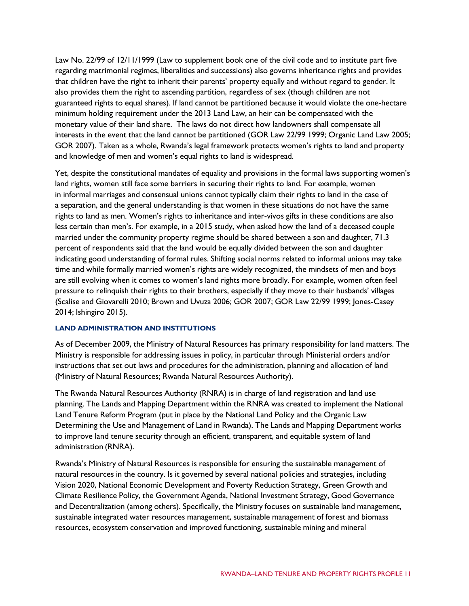Law No. 22/99 of 12/11/1999 (Law to supplement book one of the civil code and to institute part five regarding matrimonial regimes, liberalities and successions) also governs inheritance rights and provides that children have the right to inherit their parents' property equally and without regard to gender. It also provides them the right to ascending partition, regardless of sex (though children are not guaranteed rights to equal shares). If land cannot be partitioned because it would violate the one-hectare minimum holding requirement under the 2013 Land Law, an heir can be compensated with the monetary value of their land share. The laws do not direct how landowners shall compensate all interests in the event that the land cannot be partitioned (GOR Law 22/99 1999; Organic Land Law 2005; GOR 2007). Taken as a whole, Rwanda's legal framework protects women's rights to land and property and knowledge of men and women's equal rights to land is widespread.

Yet, despite the constitutional mandates of equality and provisions in the formal laws supporting women's land rights, women still face some barriers in securing their rights to land. For example, women in informal marriages and consensual unions cannot typically claim their rights to land in the case of a separation, and the general understanding is that women in these situations do not have the same rights to land as men. Women's rights to inheritance and inter-vivos gifts in these conditions are also less certain than men's. For example, in a 2015 study, when asked how the land of a deceased couple married under the community property regime should be shared between a son and daughter, 71.3 percent of respondents said that the land would be equally divided between the son and daughter indicating good understanding of formal rules. Shifting social norms related to informal unions may take time and while formally married women's rights are widely recognized, the mindsets of men and boys are still evolving when it comes to women's land rights more broadly. For example, women often feel pressure to relinquish their rights to their brothers, especially if they move to their husbands' villages (Scalise and Giovarelli 2010; Brown and Uvuza 2006; GOR 2007; GOR Law 22/99 1999; Jones-Casey 2014; Ishingiro 2015).

#### **LAND ADMINISTRATION AND INSTITUTIONS**

As of December 2009, the Ministry of Natural Resources has primary responsibility for land matters. The Ministry is responsible for addressing issues in policy, in particular through Ministerial orders and/or instructions that set out laws and procedures for the administration, planning and allocation of land (Ministry of Natural Resources; Rwanda Natural Resources Authority).

The Rwanda Natural Resources Authority (RNRA) is in charge of land registration and land use planning. The Lands and Mapping Department within the RNRA was created to implement the National Land Tenure Reform Program (put in place by the National Land Policy and the Organic Law Determining the Use and Management of Land in Rwanda). The Lands and Mapping Department works to improve land tenure security through an efficient, transparent, and equitable system of land administration (RNRA).

Rwanda's Ministry of Natural Resources is responsible for ensuring the sustainable management of natural resources in the country. Is it governed by several national policies and strategies, including Vision 2020, National Economic Development and Poverty Reduction Strategy, Green Growth and Climate Resilience Policy, the Government Agenda, National Investment Strategy, Good Governance and Decentralization (among others). Specifically, the Ministry focuses on sustainable land management, sustainable integrated water resources management, sustainable management of forest and biomass resources, ecosystem conservation and improved functioning, sustainable mining and mineral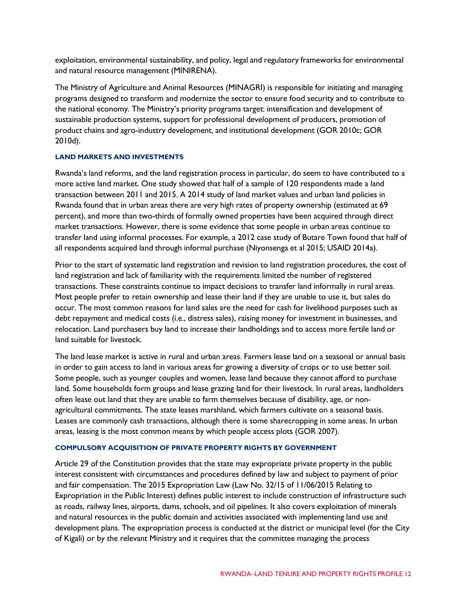exploitation, environmental sustainability, and policy, legal and regulatory frameworks for environmental and natural resource management (MINIRENA).

The Ministry of Agriculture and Animal Resources (MINAGRI) is responsible for initiating and managing programs designed to transform and modernize the sector to ensure food security and to contribute to the national economy. The Ministry's priority programs target: intensification and development of sustainable production systems, support for professional development of producers, promotion of product chains and agro-industry development, and institutional development (GOR 2010c; GOR 2010d).

#### **LAND MARKETS AND INVESTMENTS**

Rwanda's land reforms, and the land registration process in particular, do seem to have contributed to a more active land market. One study showed that half of a sample of 120 respondents made a land transaction between 2011 and 2015. A 2014 study of land market values and urban land policies in Rwanda found that in urban areas there are very high rates of property ownership (estimated at 69 percent), and more than two-thirds of formally owned properties have been acquired through direct market transactions. However, there is some evidence that some people in urban areas continue to transfer land using informal processes. For example, a 2012 case study of Butare Town found that half of all respondents acquired land through informal purchase (Niyonsenga et al 2015; USAID 2014a).

Prior to the start of systematic land registration and revision to land registration procedures, the cost of land registration and lack of familiarity with the requirements limited the number of registered transactions. These constraints continue to impact decisions to transfer land informally in rural areas. Most people prefer to retain ownership and lease their land if they are unable to use it, but sales do occur. The most common reasons for land sales are the need for cash for livelihood purposes such as debt repayment and medical costs (i.e., distress sales), raising money for investment in businesses, and relocation. Land purchasers buy land to increase their landholdings and to access more fertile land or land suitable for livestock.

The land lease market is active in rural and urban areas. Farmers lease land on a seasonal or annual basis in order to gain access to land in various areas for growing a diversity of crops or to use better soil. Some people, such as younger couples and women, lease land because they cannot afford to purchase land. Some households form groups and lease grazing land for their livestock. In rural areas, landholders often lease out land that they are unable to farm themselves because of disability, age, or nonagricultural commitments. The state leases marshland, which farmers cultivate on a seasonal basis. Leases are commonly cash transactions, although there is some sharecropping in some areas. In urban areas, leasing is the most common means by which people access plots (GOR 2007).

#### **COMPULSORY ACQUISITION OF PRIVATE PROPERTY RIGHTS BY GOVERNMENT**

Article 29 of the Constitution provides that the state may expropriate private property in the public interest consistent with circumstances and procedures defined by law and subject to payment of prior and fair compensation. The 2015 Expropriation Law (Law No. 32/15 of 11/06/2015 Relating to Expropriation in the Public Interest) defines public interest to include construction of infrastructure such as roads, railway lines, airports, dams, schools, and oil pipelines. It also covers exploitation of minerals and natural resources in the public domain and activities associated with implementing land use and development plans. The expropriation process is conducted at the district or municipal level (for the City of Kigali) or by the relevant Ministry and it requires that the committee managing the process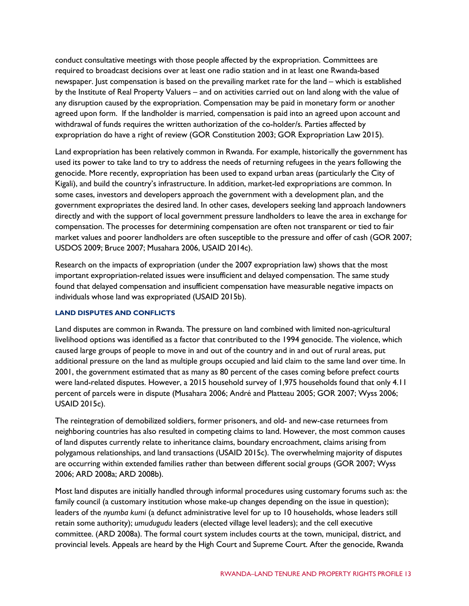conduct consultative meetings with those people affected by the expropriation. Committees are required to broadcast decisions over at least one radio station and in at least one Rwanda-based newspaper. Just compensation is based on the prevailing market rate for the land – which is established by the Institute of Real Property Valuers – and on activities carried out on land along with the value of any disruption caused by the expropriation. Compensation may be paid in monetary form or another agreed upon form. If the landholder is married, compensation is paid into an agreed upon account and withdrawal of funds requires the written authorization of the co-holder/s. Parties affected by expropriation do have a right of review (GOR Constitution 2003; GOR Expropriation Law 2015).

Land expropriation has been relatively common in Rwanda. For example, historically the government has used its power to take land to try to address the needs of returning refugees in the years following the genocide. More recently, expropriation has been used to expand urban areas (particularly the City of Kigali), and build the country's infrastructure. In addition, market-led expropriations are common. In some cases, investors and developers approach the government with a development plan, and the government expropriates the desired land. In other cases, developers seeking land approach landowners directly and with the support of local government pressure landholders to leave the area in exchange for compensation. The processes for determining compensation are often not transparent or tied to fair market values and poorer landholders are often susceptible to the pressure and offer of cash (GOR 2007; USDOS 2009; Bruce 2007; Musahara 2006, USAID 2014c).

Research on the impacts of expropriation (under the 2007 expropriation law) shows that the most important expropriation-related issues were insufficient and delayed compensation. The same study found that delayed compensation and insufficient compensation have measurable negative impacts on individuals whose land was expropriated (USAID 2015b).

#### **LAND DISPUTES AND CONFLICTS**

Land disputes are common in Rwanda. The pressure on land combined with limited non-agricultural livelihood options was identified as a factor that contributed to the 1994 genocide. The violence, which caused large groups of people to move in and out of the country and in and out of rural areas, put additional pressure on the land as multiple groups occupied and laid claim to the same land over time. In 2001, the government estimated that as many as 80 percent of the cases coming before prefect courts were land-related disputes. However, a 2015 household survey of 1,975 households found that only 4.11 percent of parcels were in dispute (Musahara 2006; André and Platteau 2005; GOR 2007; Wyss 2006; USAID 2015c).

The reintegration of demobilized soldiers, former prisoners, and old- and new-case returnees from neighboring countries has also resulted in competing claims to land. However, the most common causes of land disputes currently relate to inheritance claims, boundary encroachment, claims arising from polygamous relationships, and land transactions (USAID 2015c). The overwhelming majority of disputes are occurring within extended families rather than between different social groups (GOR 2007; Wyss 2006; ARD 2008a; ARD 2008b).

Most land disputes are initially handled through informal procedures using customary forums such as: the family council (a customary institution whose make-up changes depending on the issue in question); leaders of the *nyumba kumi* (a defunct administrative level for up to 10 households, whose leaders still retain some authority); *umudugudu* leaders (elected village level leaders); and the cell executive committee. (ARD 2008a). The formal court system includes courts at the town, municipal, district, and provincial levels. Appeals are heard by the High Court and Supreme Court. After the genocide, Rwanda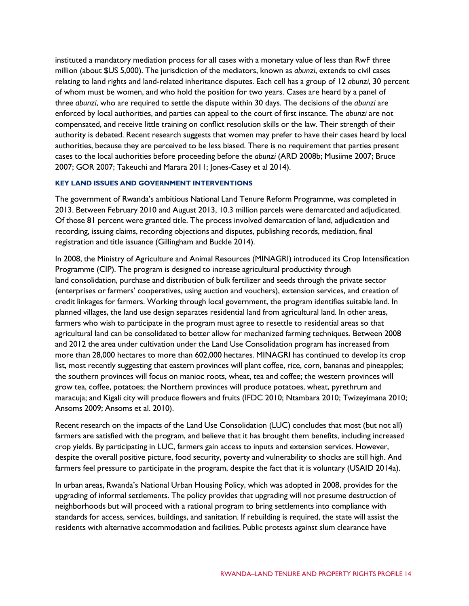instituted a mandatory mediation process for all cases with a monetary value of less than RwF three million (about \$US 5,000). The jurisdiction of the mediators, known as *abunzi*, extends to civil cases relating to land rights and land-related inheritance disputes. Each cell has a group of 12 *abunzi*, 30 percent of whom must be women, and who hold the position for two years. Cases are heard by a panel of three *abunzi*, who are required to settle the dispute within 30 days. The decisions of the *abunzi* are enforced by local authorities, and parties can appeal to the court of first instance. The *abunzi* are not compensated, and receive little training on conflict resolution skills or the law. Their strength of their authority is debated. Recent research suggests that women may prefer to have their cases heard by local authorities, because they are perceived to be less biased. There is no requirement that parties present cases to the local authorities before proceeding before the *abunzi* (ARD 2008b; Musiime 2007; Bruce 2007; GOR 2007; Takeuchi and Marara 2011; Jones-Casey et al 2014).

#### **KEY LAND ISSUES AND GOVERNMENT INTERVENTIONS**

The government of Rwanda's ambitious National Land Tenure Reform Programme, was completed in 2013. Between February 2010 and August 2013, 10.3 million parcels were demarcated and adjudicated. Of those 81 percent were granted title. The process involved demarcation of land, adjudication and recording, issuing claims, recording objections and disputes, publishing records, mediation, final registration and title issuance (Gillingham and Buckle 2014).

In 2008, the Ministry of Agriculture and Animal Resources (MINAGRI) introduced its Crop Intensification Programme (CIP). The program is designed to increase agricultural productivity through land consolidation, purchase and distribution of bulk fertilizer and seeds through the private sector (enterprises or farmers' cooperatives, using auction and vouchers), extension services, and creation of credit linkages for farmers. Working through local government, the program identifies suitable land. In planned villages, the land use design separates residential land from agricultural land. In other areas, farmers who wish to participate in the program must agree to resettle to residential areas so that agricultural land can be consolidated to better allow for mechanized farming techniques. Between 2008 and 2012 the area under cultivation under the Land Use Consolidation program has increased from more than 28,000 hectares to more than 602,000 hectares. MINAGRI has continued to develop its crop list, most recently suggesting that eastern provinces will plant coffee, rice, corn, bananas and pineapples; the southern provinces will focus on manioc roots, wheat, tea and coffee; the western provinces will grow tea, coffee, potatoes; the Northern provinces will produce potatoes, wheat, pyrethrum and maracuja; and Kigali city will produce flowers and fruits (IFDC 2010; Ntambara 2010; Twizeyimana 2010; Ansoms 2009; Ansoms et al. 2010).

Recent research on the impacts of the Land Use Consolidation (LUC) concludes that most (but not all) farmers are satisfied with the program, and believe that it has brought them benefits, including increased crop yields. By participating in LUC, farmers gain access to inputs and extension services. However, despite the overall positive picture, food security, poverty and vulnerability to shocks are still high. And farmers feel pressure to participate in the program, despite the fact that it is voluntary (USAID 2014a).

In urban areas, Rwanda's National Urban Housing Policy, which was adopted in 2008, provides for the upgrading of informal settlements. The policy provides that upgrading will not presume destruction of neighborhoods but will proceed with a rational program to bring settlements into compliance with standards for access, services, buildings, and sanitation. If rebuilding is required, the state will assist the residents with alternative accommodation and facilities. Public protests against slum clearance have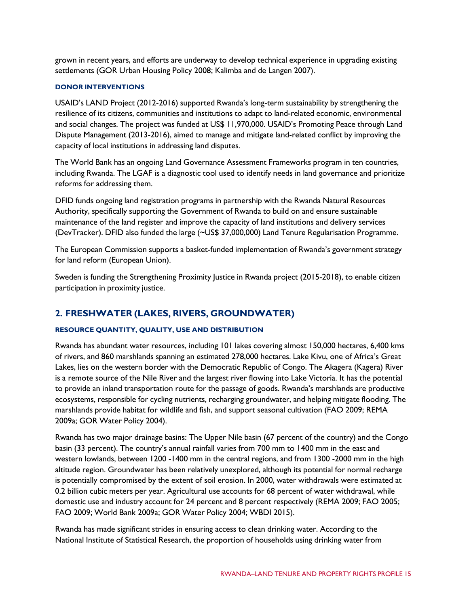grown in recent years, and efforts are underway to develop technical experience in upgrading existing settlements (GOR Urban Housing Policy 2008; Kalimba and de Langen 2007).

#### **DONOR INTERVENTIONS**

USAID's LAND Project (2012-2016) supported Rwanda's long-term sustainability by strengthening the resilience of its citizens, communities and institutions to adapt to land-related economic, environmental and social changes. The project was funded at US\$ 11,970,000. USAID's Promoting Peace through Land Dispute Management (2013-2016), aimed to manage and mitigate land-related conflict by improving the capacity of local institutions in addressing land disputes.

The World Bank has an ongoing Land Governance Assessment Frameworks program in ten countries, including Rwanda. The LGAF is a diagnostic tool used to identify needs in land governance and prioritize reforms for addressing them.

DFID funds ongoing land registration programs in partnership with the Rwanda Natural Resources Authority, specifically supporting the Government of Rwanda to build on and ensure sustainable maintenance of the land register and improve the capacity of land institutions and delivery services (DevTracker). DFID also funded the large (~US\$ 37,000,000) Land Tenure Regularisation Programme.

The European Commission supports a basket-funded implementation of Rwanda's government strategy for land reform (European Union).

Sweden is funding the Strengthening Proximity Justice in Rwanda project (2015-2018), to enable citizen participation in proximity justice.

## **2. FRESHWATER (LAKES, RIVERS, GROUNDWATER)**

#### **RESOURCE QUANTITY, QUALITY, USE AND DISTRIBUTION**

Rwanda has abundant water resources, including 101 lakes covering almost 150,000 hectares, 6,400 kms of rivers, and 860 marshlands spanning an estimated 278,000 hectares. Lake Kivu, one of Africa's Great Lakes, lies on the western border with the Democratic Republic of Congo. The Akagera (Kagera) River is a remote source of the Nile River and the largest river flowing into Lake Victoria. It has the potential to provide an inland transportation route for the passage of goods. Rwanda's marshlands are productive ecosystems, responsible for cycling nutrients, recharging groundwater, and helping mitigate flooding. The marshlands provide habitat for wildlife and fish, and support seasonal cultivation (FAO 2009; REMA 2009a; GOR Water Policy 2004).

Rwanda has two major drainage basins: The Upper Nile basin (67 percent of the country) and the Congo basin (33 percent). The country's annual rainfall varies from 700 mm to 1400 mm in the east and western lowlands, between 1200 -1400 mm in the central regions, and from 1300 -2000 mm in the high altitude region. Groundwater has been relatively unexplored, although its potential for normal recharge is potentially compromised by the extent of soil erosion. In 2000, water withdrawals were estimated at 0.2 billion cubic meters per year. Agricultural use accounts for 68 percent of water withdrawal, while domestic use and industry account for 24 percent and 8 percent respectively (REMA 2009; FAO 2005; FAO 2009; World Bank 2009a; GOR Water Policy 2004; WBDI 2015).

Rwanda has made significant strides in ensuring access to clean drinking water. According to the National Institute of Statistical Research, the proportion of households using drinking water from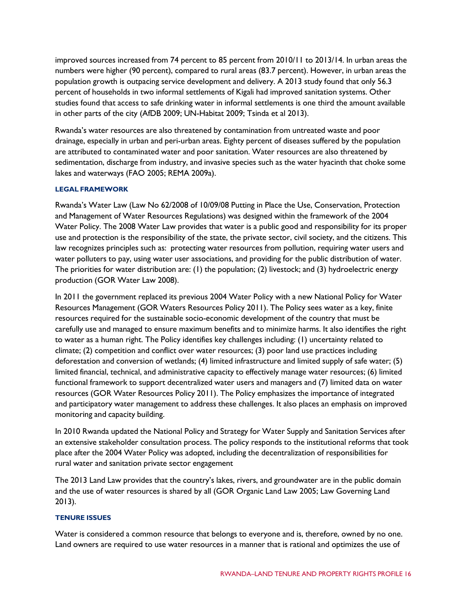improved sources increased from 74 percent to 85 percent from 2010/11 to 2013/14. In urban areas the numbers were higher (90 percent), compared to rural areas (83.7 percent). However, in urban areas the population growth is outpacing service development and delivery. A 2013 study found that only 56.3 percent of households in two informal settlements of Kigali had improved sanitation systems. Other studies found that access to safe drinking water in informal settlements is one third the amount available in other parts of the city (AfDB 2009; UN-Habitat 2009; Tsinda et al 2013).

Rwanda's water resources are also threatened by contamination from untreated waste and poor drainage, especially in urban and peri-urban areas. Eighty percent of diseases suffered by the population are attributed to contaminated water and poor sanitation. Water resources are also threatened by sedimentation, discharge from industry, and invasive species such as the water hyacinth that choke some lakes and waterways (FAO 2005; REMA 2009a).

#### **LEGAL FRAMEWORK**

Rwanda's Water Law (Law No 62/2008 of 10/09/08 Putting in Place the Use, Conservation, Protection and Management of Water Resources Regulations) was designed within the framework of the 2004 Water Policy. The 2008 Water Law provides that water is a public good and responsibility for its proper use and protection is the responsibility of the state, the private sector, civil society, and the citizens. This law recognizes principles such as: protecting water resources from pollution, requiring water users and water polluters to pay, using water user associations, and providing for the public distribution of water. The priorities for water distribution are: (1) the population; (2) livestock; and (3) hydroelectric energy production (GOR Water Law 2008).

In 2011 the government replaced its previous 2004 Water Policy with a new National Policy for Water Resources Management (GOR Waters Resources Policy 2011). The Policy sees water as a key, finite resources required for the sustainable socio-economic development of the country that must be carefully use and managed to ensure maximum benefits and to minimize harms. It also identifies the right to water as a human right. The Policy identifies key challenges including: (1) uncertainty related to climate; (2) competition and conflict over water resources; (3) poor land use practices including deforestation and conversion of wetlands; (4) limited infrastructure and limited supply of safe water; (5) limited financial, technical, and administrative capacity to effectively manage water resources; (6) limited functional framework to support decentralized water users and managers and (7) limited data on water resources (GOR Water Resources Policy 2011). The Policy emphasizes the importance of integrated and participatory water management to address these challenges. It also places an emphasis on improved monitoring and capacity building.

In 2010 Rwanda updated the National Policy and Strategy for Water Supply and Sanitation Services after an extensive stakeholder consultation process. The policy responds to the institutional reforms that took place after the 2004 Water Policy was adopted, including the decentralization of responsibilities for rural water and sanitation private sector engagement

The 2013 Land Law provides that the country's lakes, rivers, and groundwater are in the public domain and the use of water resources is shared by all (GOR Organic Land Law 2005; Law Governing Land 2013).

#### **TENURE ISSUES**

Water is considered a common resource that belongs to everyone and is, therefore, owned by no one. Land owners are required to use water resources in a manner that is rational and optimizes the use of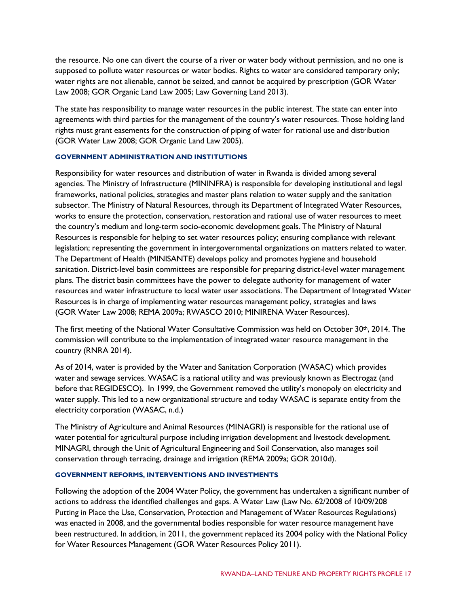the resource. No one can divert the course of a river or water body without permission, and no one is supposed to pollute water resources or water bodies. Rights to water are considered temporary only; water rights are not alienable, cannot be seized, and cannot be acquired by prescription (GOR Water Law 2008; GOR Organic Land Law 2005; Law Governing Land 2013).

The state has responsibility to manage water resources in the public interest. The state can enter into agreements with third parties for the management of the country's water resources. Those holding land rights must grant easements for the construction of piping of water for rational use and distribution (GOR Water Law 2008; GOR Organic Land Law 2005).

#### **GOVERNMENT ADMINISTRATION AND INSTITUTIONS**

Responsibility for water resources and distribution of water in Rwanda is divided among several agencies. The Ministry of Infrastructure (MININFRA) is responsible for developing institutional and legal frameworks, national policies, strategies and master plans relation to water supply and the sanitation subsector. The Ministry of Natural Resources, through its Department of Integrated Water Resources, works to ensure the protection, conservation, restoration and rational use of water resources to meet the country's medium and long-term socio-economic development goals. The Ministry of Natural Resources is responsible for helping to set water resources policy; ensuring compliance with relevant legislation; representing the government in intergovernmental organizations on matters related to water. The Department of Health (MINISANTE) develops policy and promotes hygiene and household sanitation. District-level basin committees are responsible for preparing district-level water management plans. The district basin committees have the power to delegate authority for management of water resources and water infrastructure to local water user associations. The Department of Integrated Water Resources is in charge of implementing water resources management policy, strategies and laws (GOR Water Law 2008; REMA 2009a; RWASCO 2010; MINIRENA Water Resources).

The first meeting of the National Water Consultative Commission was held on October 30th, 2014. The commission will contribute to the implementation of integrated water resource management in the country (RNRA 2014).

As of 2014, water is provided by the Water and Sanitation Corporation (WASAC) which provides water and sewage services. WASAC is a national utility and was previously known as Electrogaz (and before that REGIDESCO). In 1999, the Government removed the utility's monopoly on electricity and water supply. This led to a new organizational structure and today WASAC is separate entity from the electricity corporation (WASAC, n.d.)

The Ministry of Agriculture and Animal Resources (MINAGRI) is responsible for the rational use of water potential for agricultural purpose including irrigation development and livestock development. MINAGRI, through the Unit of Agricultural Engineering and Soil Conservation, also manages soil conservation through terracing, drainage and irrigation (REMA 2009a; GOR 2010d).

#### **GOVERNMENT REFORMS, INTERVENTIONS AND INVESTMENTS**

Following the adoption of the 2004 Water Policy, the government has undertaken a significant number of actions to address the identified challenges and gaps. A Water Law (Law No. 62/2008 of 10/09/208 Putting in Place the Use, Conservation, Protection and Management of Water Resources Regulations) was enacted in 2008, and the governmental bodies responsible for water resource management have been restructured. In addition, in 2011, the government replaced its 2004 policy with the National Policy for Water Resources Management (GOR Water Resources Policy 2011).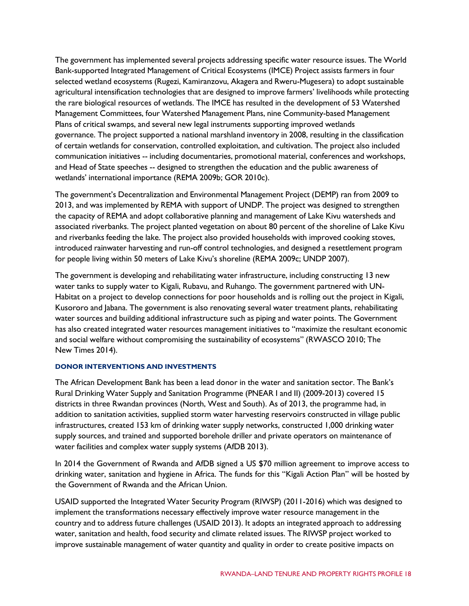The government has implemented several projects addressing specific water resource issues. The World Bank-supported Integrated Management of Critical Ecosystems (IMCE) Project assists farmers in four selected wetland ecosystems (Rugezi, Kamiranzovu, Akagera and Rweru-Mugesera) to adopt sustainable agricultural intensification technologies that are designed to improve farmers' livelihoods while protecting the rare biological resources of wetlands. The IMCE has resulted in the development of 53 Watershed Management Committees, four Watershed Management Plans, nine Community-based Management Plans of critical swamps, and several new legal instruments supporting improved wetlands governance. The project supported a national marshland inventory in 2008, resulting in the classification of certain wetlands for conservation, controlled exploitation, and cultivation. The project also included communication initiatives -- including documentaries, promotional material, conferences and workshops, and Head of State speeches -- designed to strengthen the education and the public awareness of wetlands' international importance (REMA 2009b; GOR 2010c).

The government's Decentralization and Environmental Management Project (DEMP) ran from 2009 to 2013, and was implemented by REMA with support of UNDP. The project was designed to strengthen the capacity of REMA and adopt collaborative planning and management of Lake Kivu watersheds and associated riverbanks. The project planted vegetation on about 80 percent of the shoreline of Lake Kivu and riverbanks feeding the lake. The project also provided households with improved cooking stoves, introduced rainwater harvesting and run-off control technologies, and designed a resettlement program for people living within 50 meters of Lake Kivu's shoreline (REMA 2009c; UNDP 2007).

The government is developing and rehabilitating water infrastructure, including constructing 13 new water tanks to supply water to Kigali, Rubavu, and Ruhango. The government partnered with UN-Habitat on a project to develop connections for poor households and is rolling out the project in Kigali, Kusororo and Jabana. The government is also renovating several water treatment plants, rehabilitating water sources and building additional infrastructure such as piping and water points. The Government has also created integrated water resources management initiatives to "maximize the resultant economic and social welfare without compromising the sustainability of ecosystems" (RWASCO 2010; The New Times 2014).

#### **DONOR INTERVENTIONS AND INVESTMENTS**

The African Development Bank has been a lead donor in the water and sanitation sector. The Bank's Rural Drinking Water Supply and Sanitation Programme (PNEAR I and II) (2009-2013) covered 15 districts in three Rwandan provinces (North, West and South). As of 2013, the programme had, in addition to sanitation activities, supplied storm water harvesting reservoirs constructed in village public infrastructures, created 153 km of drinking water supply networks, constructed 1,000 drinking water supply sources, and trained and supported borehole driller and private operators on maintenance of water facilities and complex water supply systems (AfDB 2013).

In 2014 the Government of Rwanda and AfDB signed a US \$70 million agreement to improve access to drinking water, sanitation and hygiene in Africa. The funds for this "Kigali Action Plan" will be hosted by the Government of Rwanda and the African Union.

USAID supported the Integrated Water Security Program (RIWSP) (2011-2016) which was designed to implement the transformations necessary effectively improve water resource management in the country and to address future challenges (USAID 2013). It adopts an integrated approach to addressing water, sanitation and health, food security and climate related issues. The RIWSP project worked to improve sustainable management of water quantity and quality in order to create positive impacts on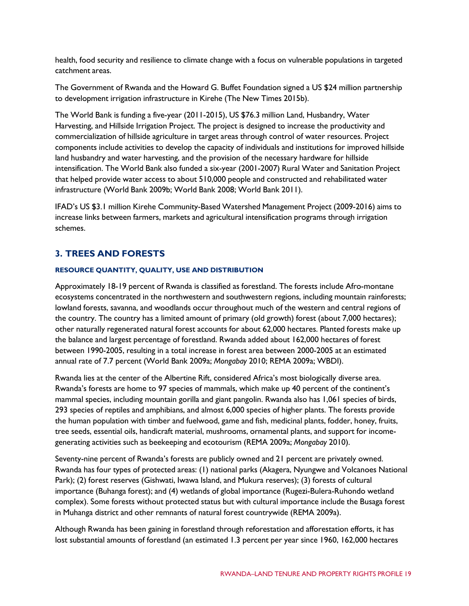health, food security and resilience to climate change with a focus on vulnerable populations in targeted catchment areas.

The Government of Rwanda and the Howard G. Buffet Foundation signed a US \$24 million partnership to development irrigation infrastructure in Kirehe (The New Times 2015b).

The World Bank is funding a five-year (2011-2015), US \$76.3 million Land, Husbandry, Water Harvesting, and Hillside Irrigation Project. The project is designed to increase the productivity and commercialization of hillside agriculture in target areas through control of water resources. Project components include activities to develop the capacity of individuals and institutions for improved hillside land husbandry and water harvesting, and the provision of the necessary hardware for hillside intensification. The World Bank also funded a six-year (2001-2007) Rural Water and Sanitation Project that helped provide water access to about 510,000 people and constructed and rehabilitated water infrastructure (World Bank 2009b; World Bank 2008; World Bank 2011).

IFAD's US \$3.1 million Kirehe Community-Based Watershed Management Project (2009-2016) aims to increase links between farmers, markets and agricultural intensification programs through irrigation schemes.

# **3. TREES AND FORESTS**

#### **RESOURCE QUANTITY, QUALITY, USE AND DISTRIBUTION**

Approximately 18-19 percent of Rwanda is classified as forestland. The forests include Afro-montane ecosystems concentrated in the northwestern and southwestern regions, including mountain rainforests; lowland forests, savanna, and woodlands occur throughout much of the western and central regions of the country. The country has a limited amount of primary (old growth) forest (about 7,000 hectares); other naturally regenerated natural forest accounts for about 62,000 hectares. Planted forests make up the balance and largest percentage of forestland. Rwanda added about 162,000 hectares of forest between 1990-2005, resulting in a total increase in forest area between 2000-2005 at an estimated annual rate of 7.7 percent (World Bank 2009a; *Mongabay* 2010; REMA 2009a; WBDI).

Rwanda lies at the center of the Albertine Rift, considered Africa's most biologically diverse area. Rwanda's forests are home to 97 species of mammals, which make up 40 percent of the continent's mammal species, including mountain gorilla and giant pangolin. Rwanda also has 1,061 species of birds, 293 species of reptiles and amphibians, and almost 6,000 species of higher plants. The forests provide the human population with timber and fuelwood, game and fish, medicinal plants, fodder, honey, fruits, tree seeds, essential oils, handicraft material, mushrooms, ornamental plants, and support for incomegenerating activities such as beekeeping and ecotourism (REMA 2009a; *Mongabay* 2010).

Seventy-nine percent of Rwanda's forests are publicly owned and 21 percent are privately owned. Rwanda has four types of protected areas: (1) national parks (Akagera, Nyungwe and Volcanoes National Park); (2) forest reserves (Gishwati, Iwawa Island, and Mukura reserves); (3) forests of cultural importance (Buhanga forest); and (4) wetlands of global importance (Rugezi-Bulera-Ruhondo wetland complex). Some forests without protected status but with cultural importance include the Busaga forest in Muhanga district and other remnants of natural forest countrywide (REMA 2009a).

Although Rwanda has been gaining in forestland through reforestation and afforestation efforts, it has lost substantial amounts of forestland (an estimated 1.3 percent per year since 1960, 162,000 hectares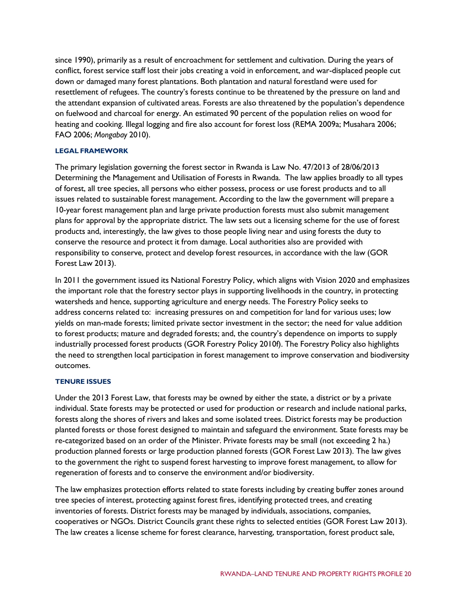since 1990), primarily as a result of encroachment for settlement and cultivation. During the years of conflict, forest service staff lost their jobs creating a void in enforcement, and war-displaced people cut down or damaged many forest plantations. Both plantation and natural forestland were used for resettlement of refugees. The country's forests continue to be threatened by the pressure on land and the attendant expansion of cultivated areas. Forests are also threatened by the population's dependence on fuelwood and charcoal for energy. An estimated 90 percent of the population relies on wood for heating and cooking. Illegal logging and fire also account for forest loss (REMA 2009a; Musahara 2006; FAO 2006; *Mongabay* 2010).

#### **LEGAL FRAMEWORK**

The primary legislation governing the forest sector in Rwanda is Law No. 47/2013 of 28/06/2013 Determining the Management and Utilisation of Forests in Rwanda. The law applies broadly to all types of forest, all tree species, all persons who either possess, process or use forest products and to all issues related to sustainable forest management. According to the law the government will prepare a 10-year forest management plan and large private production forests must also submit management plans for approval by the appropriate district. The law sets out a licensing scheme for the use of forest products and, interestingly, the law gives to those people living near and using forests the duty to conserve the resource and protect it from damage. Local authorities also are provided with responsibility to conserve, protect and develop forest resources, in accordance with the law (GOR Forest Law 2013).

In 2011 the government issued its National Forestry Policy, which aligns with Vision 2020 and emphasizes the important role that the forestry sector plays in supporting livelihoods in the country, in protecting watersheds and hence, supporting agriculture and energy needs. The Forestry Policy seeks to address concerns related to: increasing pressures on and competition for land for various uses; low yields on man-made forests; limited private sector investment in the sector; the need for value addition to forest products; mature and degraded forests; and, the country's dependence on imports to supply industrially processed forest products (GOR Forestry Policy 2010f). The Forestry Policy also highlights the need to strengthen local participation in forest management to improve conservation and biodiversity outcomes.

#### **TENURE ISSUES**

Under the 2013 Forest Law, that forests may be owned by either the state, a district or by a private individual. State forests may be protected or used for production or research and include national parks, forests along the shores of rivers and lakes and some isolated trees. District forests may be production planted forests or those forest designed to maintain and safeguard the environment. State forests may be re-categorized based on an order of the Minister. Private forests may be small (not exceeding 2 ha.) production planned forests or large production planned forests (GOR Forest Law 2013). The law gives to the government the right to suspend forest harvesting to improve forest management, to allow for regeneration of forests and to conserve the environment and/or biodiversity.

The law emphasizes protection efforts related to state forests including by creating buffer zones around tree species of interest, protecting against forest fires, identifying protected trees, and creating inventories of forests. District forests may be managed by individuals, associations, companies, cooperatives or NGOs. District Councils grant these rights to selected entities (GOR Forest Law 2013). The law creates a license scheme for forest clearance, harvesting, transportation, forest product sale,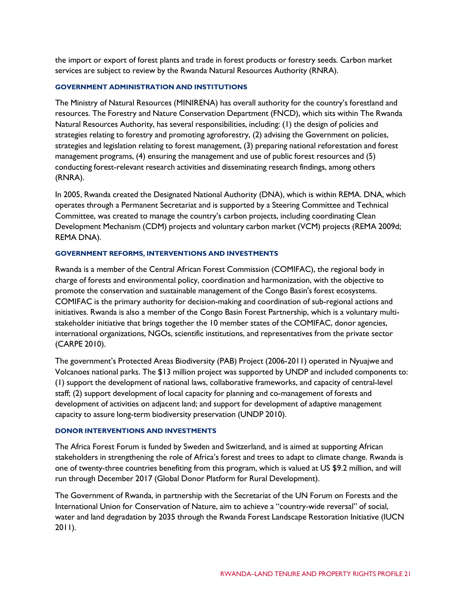the import or export of forest plants and trade in forest products or forestry seeds. Carbon market services are subject to review by the Rwanda Natural Resources Authority (RNRA).

#### **GOVERNMENT ADMINISTRATION AND INSTITUTIONS**

The Ministry of Natural Resources (MINIRENA) has overall authority for the country's forestland and resources. The Forestry and Nature Conservation Department (FNCD), which sits within The Rwanda Natural Resources Authority, has several responsibilities, including: (1) the design of policies and strategies relating to forestry and promoting agroforestry, (2) advising the Government on policies, strategies and legislation relating to forest management, (3) preparing national reforestation and forest management programs, (4) ensuring the management and use of public forest resources and (5) conducting forest-relevant research activities and disseminating research findings, among others (RNRA).

In 2005, Rwanda created the Designated National Authority (DNA), which is within REMA. DNA, which operates through a Permanent Secretariat and is supported by a Steering Committee and Technical Committee, was created to manage the country's carbon projects, including coordinating Clean Development Mechanism (CDM) projects and voluntary carbon market (VCM) projects (REMA 2009d; REMA DNA).

#### **GOVERNMENT REFORMS, INTERVENTIONS AND INVESTMENTS**

Rwanda is a member of the Central African Forest Commission (COMIFAC), the regional body in charge of forests and environmental policy, coordination and harmonization, with the objective to promote the conservation and sustainable management of the Congo Basin's forest ecosystems. COMIFAC is the primary authority for decision-making and coordination of sub-regional actions and initiatives. Rwanda is also a member of the Congo Basin Forest Partnership, which is a voluntary multistakeholder initiative that brings together the 10 member states of the COMIFAC, donor agencies, international organizations, NGOs, scientific institutions, and representatives from the private sector (CARPE 2010).

The government's Protected Areas Biodiversity (PAB) Project (2006-2011) operated in Nyuajwe and Volcanoes national parks. The \$13 million project was supported by UNDP and included components to: (1) support the development of national laws, collaborative frameworks, and capacity of central-level staff; (2) support development of local capacity for planning and co-management of forests and development of activities on adjacent land; and support for development of adaptive management capacity to assure long-term biodiversity preservation (UNDP 2010).

#### **DONOR INTERVENTIONS AND INVESTMENTS**

The Africa Forest Forum is funded by Sweden and Switzerland, and is aimed at supporting African stakeholders in strengthening the role of Africa's forest and trees to adapt to climate change. Rwanda is one of twenty-three countries benefiting from this program, which is valued at US \$9.2 million, and will run through December 2017 (Global Donor Platform for Rural Development).

The Government of Rwanda, in partnership with the Secretariat of the UN Forum on Forests and the International Union for Conservation of Nature, aim to achieve a "country-wide reversal" of social, water and land degradation by 2035 through the Rwanda Forest Landscape Restoration Initiative (IUCN 2011).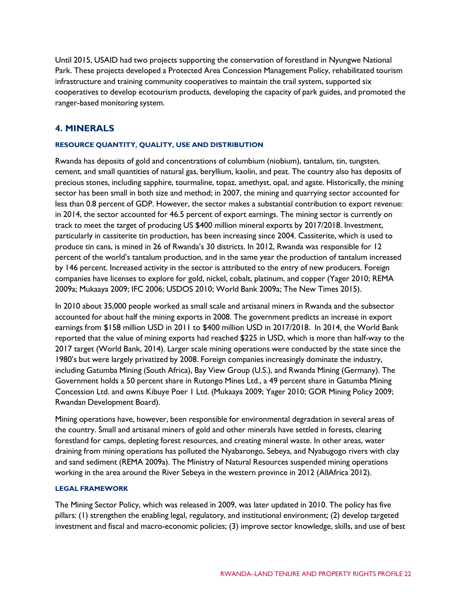Until 2015, USAID had two projects supporting the conservation of forestland in Nyungwe National Park. These projects developed a Protected Area Concession Management Policy, rehabilitated tourism infrastructure and training community cooperatives to maintain the trail system, supported six cooperatives to develop ecotourism products, developing the capacity of park guides, and promoted the ranger-based monitoring system.

## **4. MINERALS**

#### **RESOURCE QUANTITY, QUALITY, USE AND DISTRIBUTION**

Rwanda has deposits of gold and concentrations of columbium (niobium), tantalum, tin, tungsten, cement, and small quantities of natural gas, beryllium, kaolin, and peat. The country also has deposits of precious stones, including sapphire, tourmaline, topaz, amethyst, opal, and agate. Historically, the mining sector has been small in both size and method; in 2007, the mining and quarrying sector accounted for less than 0.8 percent of GDP. However, the sector makes a substantial contribution to export revenue: in 2014, the sector accounted for 46.5 percent of export earnings. The mining sector is currently on track to meet the target of producing US \$400 million mineral exports by 2017/2018. Investment, particularly in cassiterite tin production, has been increasing since 2004. Cassiterite, which is used to produce tin cans, is mined in 26 of Rwanda's 30 districts. In 2012, Rwanda was responsible for 12 percent of the world's tantalum production, and in the same year the production of tantalum increased by 146 percent. Increased activity in the sector is attributed to the entry of new producers. Foreign companies have licenses to explore for gold, nickel, cobalt, platinum, and copper (Yager 2010; REMA 2009a; Mukaaya 2009; IFC 2006; USDOS 2010; World Bank 2009a; The New Times 2015).

In 2010 about 35,000 people worked as small scale and artisanal miners in Rwanda and the subsector accounted for about half the mining exports in 2008. The government predicts an increase in export earnings from \$158 million USD in 2011 to \$400 million USD in 2017/2018. In 2014, the World Bank reported that the value of mining exports had reached \$225 in USD, which is more than half-way to the 2017 target (World Bank, 2014). Larger scale mining operations were conducted by the state since the 1980's but were largely privatized by 2008. Foreign companies increasingly dominate the industry, including Gatumba Mining (South Africa), Bay View Group (U.S.), and Rwanda Mining (Germany). The Government holds a 50 percent share in Rutongo Mines Ltd., a 49 percent share in Gatumba Mining Concession Ltd. and owns Kibuye Poer 1 Ltd. (Mukaaya 2009; Yager 2010; GOR Mining Policy 2009; Rwandan Development Board).

Mining operations have, however, been responsible for environmental degradation in several areas of the country. Small and artisanal miners of gold and other minerals have settled in forests, clearing forestland for camps, depleting forest resources, and creating mineral waste. In other areas, water draining from mining operations has polluted the Nyabarongo, Sebeya, and Nyabugogo rivers with clay and sand sediment (REMA 2009a). The Ministry of Natural Resources suspended mining operations working in the area around the River Sebeya in the western province in 2012 (AllAfrica 2012).

#### **LEGAL FRAMEWORK**

The Mining Sector Policy, which was released in 2009, was later updated in 2010. The policy has five pillars: (1) strengthen the enabling legal, regulatory, and institutional environment; (2) develop targeted investment and fiscal and macro-economic policies; (3) improve sector knowledge, skills, and use of best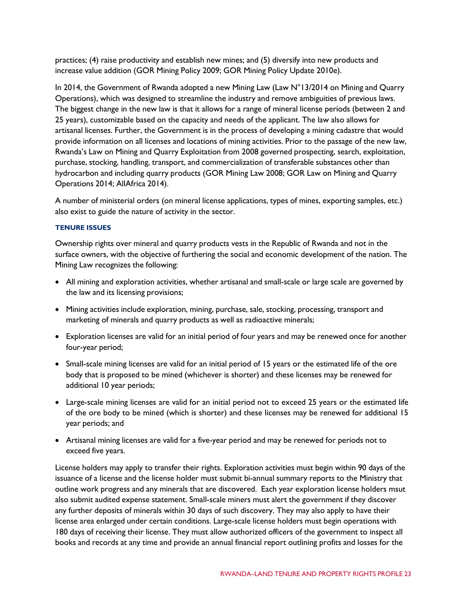practices; (4) raise productivity and establish new mines; and (5) diversify into new products and increase value addition (GOR Mining Policy 2009; GOR Mining Policy Update 2010e).

In 2014, the Government of Rwanda adopted a new Mining Law (Law N°13/2014 on Mining and Quarry Operations), which was designed to streamline the industry and remove ambiguities of previous laws. The biggest change in the new law is that it allows for a range of mineral license periods (between 2 and 25 years), customizable based on the capacity and needs of the applicant. The law also allows for artisanal licenses. Further, the Government is in the process of developing a mining cadastre that would provide information on all licenses and locations of mining activities. Prior to the passage of the new law, Rwanda's Law on Mining and Quarry Exploitation from 2008 governed prospecting, search, exploitation, purchase, stocking, handling, transport, and commercialization of transferable substances other than hydrocarbon and including quarry products (GOR Mining Law 2008; GOR Law on Mining and Quarry Operations 2014; AllAfrica 2014).

A number of ministerial orders (on mineral license applications, types of mines, exporting samples, etc.) also exist to guide the nature of activity in the sector.

#### **TENURE ISSUES**

Ownership rights over mineral and quarry products vests in the Republic of Rwanda and not in the surface owners, with the objective of furthering the social and economic development of the nation. The Mining Law recognizes the following:

- All mining and exploration activities, whether artisanal and small-scale or large scale are governed by the law and its licensing provisions;
- Mining activities include exploration, mining, purchase, sale, stocking, processing, transport and marketing of minerals and quarry products as well as radioactive minerals;
- Exploration licenses are valid for an initial period of four years and may be renewed once for another four-year period;
- Small-scale mining licenses are valid for an initial period of 15 years or the estimated life of the ore body that is proposed to be mined (whichever is shorter) and these licenses may be renewed for additional 10 year periods;
- Large-scale mining licenses are valid for an initial period not to exceed 25 years or the estimated life of the ore body to be mined (which is shorter) and these licenses may be renewed for additional 15 year periods; and
- Artisanal mining licenses are valid for a five-year period and may be renewed for periods not to exceed five years.

License holders may apply to transfer their rights. Exploration activities must begin within 90 days of the issuance of a license and the license holder must submit bi-annual summary reports to the Ministry that outline work progress and any minerals that are discovered. Each year exploration license holders msut also submit audited expense statement. Small-scale miners must alert the government if they discover any further deposits of minerals within 30 days of such discovery. They may also apply to have their license area enlarged under certain conditions. Large-scale license holders must begin operations with 180 days of receiving their license. They must allow authorized officers of the government to inspect all books and records at any time and provide an annual financial report outlining profits and losses for the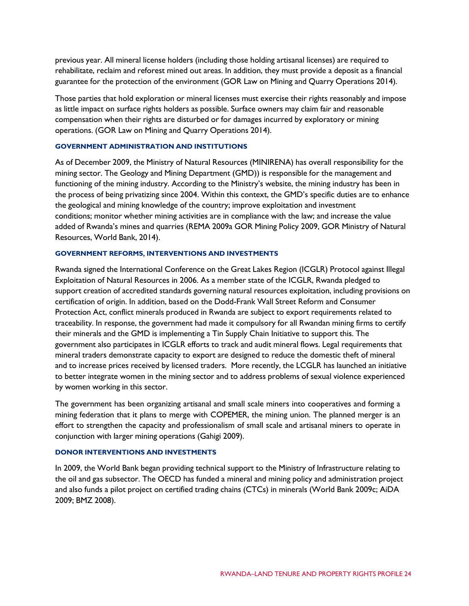previous year. All mineral license holders (including those holding artisanal licenses) are required to rehabilitate, reclaim and reforest mined out areas. In addition, they must provide a deposit as a financial guarantee for the protection of the environment (GOR Law on Mining and Quarry Operations 2014).

Those parties that hold exploration or mineral licenses must exercise their rights reasonably and impose as little impact on surface rights holders as possible. Surface owners may claim fair and reasonable compensation when their rights are disturbed or for damages incurred by exploratory or mining operations. (GOR Law on Mining and Quarry Operations 2014).

#### **GOVERNMENT ADMINISTRATION AND INSTITUTIONS**

As of December 2009, the Ministry of Natural Resources (MINIRENA) has overall responsibility for the mining sector. The Geology and Mining Department (GMD)) is responsible for the management and functioning of the mining industry. According to the Ministry's website, the mining industry has been in the process of being privatizing since 2004. Within this context, the GMD's specific duties are to enhance the geological and mining knowledge of the country; improve exploitation and investment conditions; monitor whether mining activities are in compliance with the law; and increase the value added of Rwanda's mines and quarries (REMA 2009a GOR Mining Policy 2009, GOR Ministry of Natural Resources, World Bank, 2014).

#### **GOVERNMENT REFORMS, INTERVENTIONS AND INVESTMENTS**

Rwanda signed the International Conference on the Great Lakes Region (ICGLR) Protocol against Illegal Exploitation of Natural Resources in 2006. As a member state of the ICGLR, Rwanda pledged to support creation of accredited standards governing natural resources exploitation, including provisions on certification of origin. In addition, based on the Dodd-Frank Wall Street Reform and Consumer Protection Act, conflict minerals produced in Rwanda are subject to export requirements related to traceability. In response, the government had made it compulsory for all Rwandan mining firms to certify their minerals and the GMD is implementing a Tin Supply Chain Initiative to support this. The government also participates in ICGLR efforts to track and audit mineral flows. Legal requirements that mineral traders demonstrate capacity to export are designed to reduce the domestic theft of mineral and to increase prices received by licensed traders. More recently, the LCGLR has launched an initiative to better integrate women in the mining sector and to address problems of sexual violence experienced by women working in this sector.

The government has been organizing artisanal and small scale miners into cooperatives and forming a mining federation that it plans to merge with COPEMER, the mining union. The planned merger is an effort to strengthen the capacity and professionalism of small scale and artisanal miners to operate in conjunction with larger mining operations (Gahigi 2009).

#### **DONOR INTERVENTIONS AND INVESTMENTS**

In 2009, the World Bank began providing technical support to the Ministry of Infrastructure relating to the oil and gas subsector. The OECD has funded a mineral and mining policy and administration project and also funds a pilot project on certified trading chains (CTCs) in minerals (World Bank 2009c; AiDA 2009; BMZ 2008).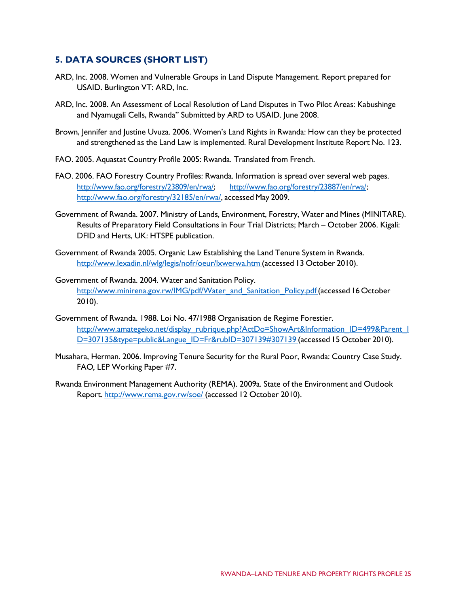## **5. DATA SOURCES (SHORT LIST)**

- ARD, Inc. 2008. Women and Vulnerable Groups in Land Dispute Management. Report prepared for USAID. Burlington VT: ARD, Inc.
- ARD, Inc. 2008. An Assessment of Local Resolution of Land Disputes in Two Pilot Areas: Kabushinge and Nyamugali Cells, Rwanda" Submitted by ARD to USAID. June 2008.
- Brown, Jennifer and Justine Uvuza. 2006. Women's Land Rights in Rwanda: How can they be protected and strengthened as the Land Law is implemented. Rural Development Institute Report No. 123.
- FAO. 2005. Aquastat Country Profile 2005: Rwanda. Translated from French.
- FAO. 2006. FAO Forestry Country Profiles: Rwanda. Information is spread over several web pages. [http://www.fao.org/forestry/23809/en/rwa/;](http://www.fao.org/forestry/23809/en/rwa/) [http://www.fao.org/forestry/23887/en/rwa/;](http://www.fao.org/forestry/23887/en/rwa/) [http://www.fao.org/forestry/32185/en/rwa/,](http://www.fao.org/forestry/32185/en/rwa/) accessed May 2009.
- Government of Rwanda. 2007. Ministry of Lands, Environment, Forestry, Water and Mines (MINITARE). Results of Preparatory Field Consultations in Four Trial Districts; March – October 2006. Kigali: DFID and Herts, UK: HTSPE publication.
- Government of Rwanda 2005. Organic Law Establishing the Land Tenure System in Rwanda. <http://www.lexadin.nl/wlg/legis/nofr/oeur/lxwerwa.htm> (accessed 13 October 2010).
- Government of Rwanda. 2004. Water and Sanitation Policy. http://www.minirena.gov.rw/IMG/pdf/Water\_and\_Sanitation\_Policy.pdf (accessed 16 October 2010).
- Government of Rwanda. 1988. Loi No. 47/1988 Organisation de Regime Forestier. http://www.amategeko.net/display\_rubrique.php?ActDo=ShowArt&Information\_ID=499&Parent\_I [D=307135&type=public&Langue\\_ID=Fr&rubID=307139#307139](http://www.amategeko.net/display_rubrique.php?ActDo=ShowArt&Information_ID=499&Parent_ID=307135&type=public&Langue_ID=Fr&rubID=307139&307139) (accessed 15 October 2010).
- Musahara, Herman. 2006. Improving Tenure Security for the Rural Poor, Rwanda: Country Case Study. FAO*,* LEP Working Paper #7.
- Rwanda Environment Management Authority (REMA). 2009a. State of the Environment and Outlook Report. <http://www.rema.gov.rw/soe/> (accessed 12 October 2010).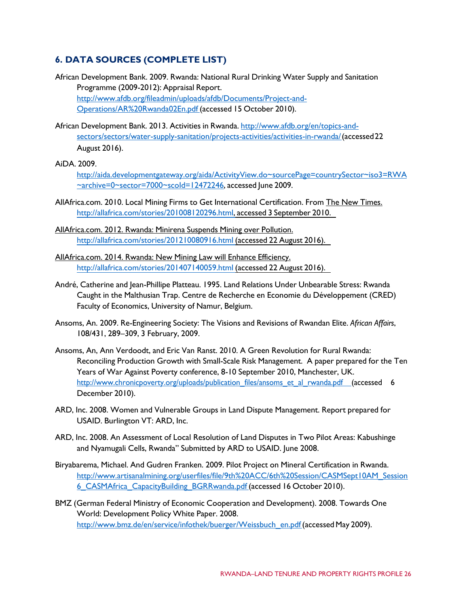# **6. DATA SOURCES (COMPLETE LIST)**

- African Development Bank. 2009. Rwanda: National Rural Drinking Water Supply and Sanitation Programme (2009-2012): Appraisal Report. [http://www.afdb.org/fileadmin/uploads/afdb/Documents/Project-and-](http://www.afdb.org/fileadmin/uploads/afdb/Documents/Project-and-Operations/AR%20Rwanda02En.pdf)[Operations/AR%20Rwanda02En.pdf](http://www.afdb.org/fileadmin/uploads/afdb/Documents/Project-and-Operations/AR%20Rwanda02En.pdf) (accessed 15 October 2010).
- African Development Bank. 2013. Activities in Rwanda. [http://www.afdb.org/en/topics-and](http://www.afdb.org/en/topics-and-sectors/sectors/water-supply-sanitation/projects-activities/activities-in-rwanda/)[sectors/sectors/water-supply-sanitation/projects-activities/activities-in-rwanda/\(](http://www.afdb.org/en/topics-and-sectors/sectors/water-supply-sanitation/projects-activities/activities-in-rwanda/)accessed22 August 2016).

AiDA. 2009.

[http://aida.developmentgateway.org/aida/ActivityView.do~sourcePage=countrySector~iso3=RWA](http://aida.developmentgateway.org/aida/ActivityView.do%7EsourcePage%3DcountrySector%7Eiso3%3DRWA%7Earchive%3D0%7Esector%3D7000%7EscoId%3D12472246) [~archive=0~sector=7000~scoId=12472246,](http://aida.developmentgateway.org/aida/ActivityView.do%7EsourcePage%3DcountrySector%7Eiso3%3DRWA%7Earchive%3D0%7Esector%3D7000%7EscoId%3D12472246) accessed June 2009.

- AllAfrica.com. 2010. Local Mining Firms to Get International Certification. From The New Times. [http://allafrica.com/stories/201008120296.html,](http://allafrica.com/stories/201008120296.html) accessed 3 September 2010.
- AllAfrica.com. 2012. Rwanda: Minirena Suspends Mining over Pollution. <http://allafrica.com/stories/201210080916.html> (accessed 22 August 2016).
- AllAfrica.com. 2014. Rwanda: New Mining Law will Enhance Efficiency. <http://allafrica.com/stories/201407140059.html> (accessed 22 August 2016).
- André, Catherine and Jean-Phillipe Platteau. 1995. Land Relations Under Unbearable Stress: Rwanda Caught in the Malthusian Trap. Centre de Recherche en Economie du Développement (CRED) Faculty of Economics, University of Namur, Belgium.
- Ansoms, An. 2009. Re-Engineering Society: The Visions and Revisions of Rwandan Elite. *African Affairs*, 108/431, 289–309, 3 February, 2009.
- Ansoms, An, Ann Verdoodt, and Eric Van Ranst. 2010. A Green Revolution for Rural Rwanda: Reconciling Production Growth with Small-Scale Risk Management. A paper prepared for the Ten Years of War Against Poverty conference, 8-10 September 2010, Manchester, UK. [http://www.chronicpoverty.org/uploads/publication\\_files/ansoms\\_et\\_al\\_rwanda.pdf \(](http://www.chronicpoverty.org/uploads/publication_files/ansoms_et_al_rwanda.pdf)accessed 6 December 2010).
- ARD, Inc. 2008. Women and Vulnerable Groups in Land Dispute Management. Report prepared for USAID. Burlington VT: ARD, Inc.
- ARD, Inc. 2008. An Assessment of Local Resolution of Land Disputes in Two Pilot Areas: Kabushinge and Nyamugali Cells, Rwanda" Submitted by ARD to USAID. June 2008.
- Biryabarema, Michael. And Gudren Franken. 2009. Pilot Project on Mineral Certification in Rwanda. [http://www.artisanalmining.org/userfiles/file/9th%20ACC/6th%20Session/CASMSept10AM\\_Session](http://www.artisanalmining.org/userfiles/file/9th%20ACC/6th%20Session/CASMSept10AM_Session6_CASMAfrica_CapacityBuilding_BGRRwanda.pdf) [6\\_CASMAfrica\\_CapacityBuilding\\_BGRRwanda.pdf](http://www.artisanalmining.org/userfiles/file/9th%20ACC/6th%20Session/CASMSept10AM_Session6_CASMAfrica_CapacityBuilding_BGRRwanda.pdf) (accessed 16 October 2010).
- BMZ (German Federal Ministry of Economic Cooperation and Development). 2008. Towards One World: Development Policy White Paper. 2008. [http://www.bmz.de/en/service/infothek/buerger/Weissbuch\\_en.pdf\(](http://www.bmz.de/en/service/infothek/buerger/Weissbuch_en.pdf)accessedMay 2009).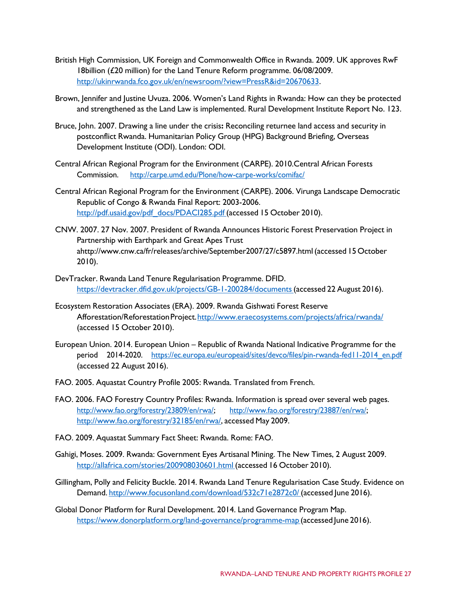- British High Commission, UK Foreign and Commonwealth Office in Rwanda. 2009. UK approves RwF 18billion (£20 million) for the Land Tenure Reform programme. 06/08/2009. [http://ukinrwanda.fco.gov.uk/en/newsroom/?view=PressR&id=20670633.](http://ukinrwanda.fco.gov.uk/en/newsroom/?view=PressR&id=20670633)
- Brown, Jennifer and Justine Uvuza. 2006. Women's Land Rights in Rwanda: How can they be protected and strengthened as the Land Law is implemented. Rural Development Institute Report No. 123.
- Bruce, John. 2007. Drawing a line under the crisis**:** Reconciling returnee land access and security in postconflict Rwanda. Humanitarian Policy Group (HPG) Background Briefing, Overseas Development Institute (ODI). London: ODI.
- Central African Regional Program for the Environment (CARPE). 2010.Central African Forests Commission. <http://carpe.umd.edu/Plone/how-carpe-works/comifac/>
- Central African Regional Program for the Environment (CARPE). 2006. Virunga Landscape Democratic Republic of Congo & Rwanda Final Report: 2003-2006. [http://pdf.usaid.gov/pdf\\_docs/PDACI285.pdf](http://pdf.usaid.gov/pdf_docs/PDACI285.pdf) (accessed 15 October 2010).
- CNW. 2007. 27 Nov. 2007. President of Rwanda Announces Historic Forest Preservation Project in Partnership with Earthpark and Great Apes Trust [ahttp://www.cnw.ca/fr/releases/archive/September2007/27/c5897.html\(](http://www.cnw.ca/fr/releases/archive/September2007/27/c5897.html)accessed 15 October 2010).
- DevTracker. Rwanda Land Tenure Regularisation Programme. DFID. [https://devtracker.dfid.gov.uk/projects/GB-1-200284/documents\(](https://devtracker.dfid.gov.uk/projects/GB-1-200284/documents)accessed 22 August 2016).
- Ecosystem Restoration Associates (ERA). 2009. Rwanda Gishwati Forest Reserve Afforestation/ReforestationProject[.http://www.eraecosystems.com/projects/africa/rwanda/](http://www.eraecosystems.com/projects/africa/rwanda/) (accessed 15 October 2010).
- European Union. 2014. European Union Republic of Rwanda National Indicative Programme for the period 2014-2020. https://ec.europa.eu/europeaid/sites/devco/files/pin-rwanda-fed11-2014 en.pdf (accessed 22 August 2016).
- FAO. 2005. Aquastat Country Profile 2005: Rwanda. Translated from French.
- FAO. 2006. FAO Forestry Country Profiles: Rwanda. Information is spread over several web pages. [http://www.fao.org/forestry/23809/en/rwa/;](http://www.fao.org/forestry/23809/en/rwa/) [http://www.fao.org/forestry/23887/en/rwa/;](http://www.fao.org/forestry/23887/en/rwa/) [http://www.fao.org/forestry/32185/en/rwa/,](http://www.fao.org/forestry/32185/en/rwa/) accessed May 2009.
- FAO. 2009. Aquastat Summary Fact Sheet: Rwanda. Rome: FAO.
- Gahigi, Moses. 2009. Rwanda: Government Eyes Artisanal Mining. The New Times, 2 August 2009. <http://allafrica.com/stories/200908030601.html> (accessed 16 October 2010).
- Gillingham, Polly and Felicity Buckle. 2014. Rwanda Land Tenure Regularisation Case Study. Evidence on Demand. <http://www.focusonland.com/download/532c71e2872c0/> (accessed June 2016).
- Global Donor Platform for Rural Development. 2014. Land Governance Program Map. <https://www.donorplatform.org/land-governance/programme-map> (accessed June 2016).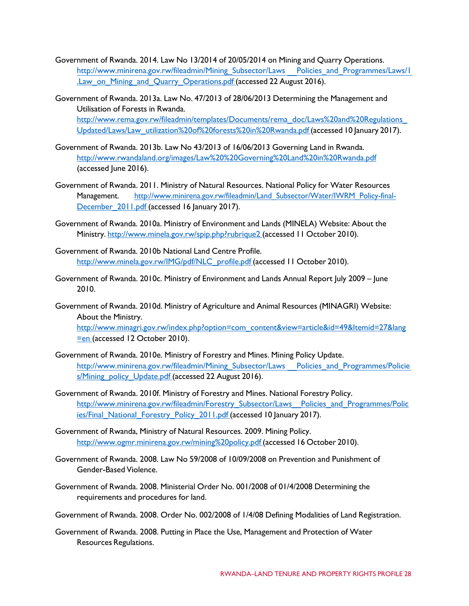- Government of Rwanda. 2014. Law No 13/2014 of 20/05/2014 on Mining and Quarry Operations. [http://www.minirena.gov.rw/fileadmin/Mining\\_Subsector/Laws](http://www.minirena.gov.rw/fileadmin/Mining_Subsector/Laws__Policies_and_Programmes/Laws/1.Law_on_Mining_and_Quarry_Operations.pdf) [Policies\\_and\\_Programmes/Laws/1](http://www.minirena.gov.rw/fileadmin/Mining_Subsector/Laws__Policies_and_Programmes/Laws/1.Law_on_Mining_and_Quarry_Operations.pdf) [.Law\\_on\\_Mining\\_and\\_Quarry\\_Operations.pdf](http://www.minirena.gov.rw/fileadmin/Mining_Subsector/Laws__Policies_and_Programmes/Laws/1.Law_on_Mining_and_Quarry_Operations.pdf) (accessed 22 August 2016).
- Government of Rwanda. 2013a. Law No. 47/2013 of 28/06/2013 Determining the Management and Utilisation of Forests in Rwanda. [http://www.rema.gov.rw/fileadmin/templates/Documents/rema\\_doc/Laws%20and%20Regulations\\_](http://www.rema.gov.rw/fileadmin/templates/Documents/rema_doc/Laws%20and%20Regulations_Updated/Laws/Law_utilization%20of%20forests%20in%20Rwanda.pdf) [Updated/Laws/Law\\_utilization%20of%20forests%20in%20Rwanda.pdf](http://www.rema.gov.rw/fileadmin/templates/Documents/rema_doc/Laws%20and%20Regulations_Updated/Laws/Law_utilization%20of%20forests%20in%20Rwanda.pdf) (accessed 10 January 2017).
- Government of Rwanda. 2013b. Law No 43/2013 of 16/06/2013 Governing Land in Rwanda. <http://www.rwandaland.org/images/Law%20%20Governing%20Land%20in%20Rwanda.pdf> (accessed June 2016).
- Government of Rwanda. 2011. Ministry of Natural Resources. National Policy for Water Resources Management. http://www.minirena.gov.rw/fileadmin/Land Subsector/Water/IWRM Policy-final-December 2011.pdf (accessed 16 January 2017).
- Government of Rwanda. 2010a. Ministry of Environment and Lands (MINELA) Website: About the Ministry. <http://www.minela.gov.rw/spip.php?rubrique2> (accessed 11 October 2010).
- Government of Rwanda. 2010b National Land Centre Profile. [http://www.minela.gov.rw/IMG/pdf/NLC\\_profile.pdf](http://www.minela.gov.rw/IMG/pdf/NLC_profile.pdf) (accessed 11 October 2010).
- Government of Rwanda. 2010c. Ministry of Environment and Lands Annual Report July 2009 June 2010.
- Government of Rwanda. 2010d. Ministry of Agriculture and Animal Resources (MINAGRI) Website: About the Ministry.

[http://www.minagri.gov.rw/index.php?option=com\\_content&view=article&id=49&Itemid=27&lang](http://www.minagri.gov.rw/index.php?option=com_content&view=article&id=49&Itemid=27&lang=en) [=en](http://www.minagri.gov.rw/index.php?option=com_content&view=article&id=49&Itemid=27&lang=en) (accessed 12 October 2010).

- Government of Rwanda. 2010e. Ministry of Forestry and Mines. Mining Policy Update. [http://www.minirena.gov.rw/fileadmin/Mining\\_Subsector/Laws](http://www.minirena.gov.rw/fileadmin/Mining_Subsector/Laws__Policies_and_Programmes/Policies/Mining_policy_Update.pdf) [Policies\\_and\\_Programmes/Policie](http://www.minirena.gov.rw/fileadmin/Mining_Subsector/Laws__Policies_and_Programmes/Policies/Mining_policy_Update.pdf) [s/Mining\\_policy\\_Update.pdf](http://www.minirena.gov.rw/fileadmin/Mining_Subsector/Laws__Policies_and_Programmes/Policies/Mining_policy_Update.pdf) (accessed 22 August 2016).
- Government of Rwanda. 2010f. Ministry of Forestry and Mines. National Forestry Policy. [http://www.minirena.gov.rw/fileadmin/Forestry\\_Subsector/Laws\\_\\_Policies\\_and\\_Programmes/Polic](http://www.minirena.gov.rw/fileadmin/Forestry_Subsector/Laws__Policies_and_Programmes/Policies/Final_National_Forestry_Policy_2011.pdf) [ies/Final\\_National\\_Forestry\\_Policy\\_2011.pdf](http://www.minirena.gov.rw/fileadmin/Forestry_Subsector/Laws__Policies_and_Programmes/Policies/Final_National_Forestry_Policy_2011.pdf) (accessed 10 January 2017).
- Government of Rwanda, Ministry of Natural Resources. 2009. Mining Policy. <http://www.ogmr.minirena.gov.rw/mining%20policy.pdf> (accessed 16 October 2010).
- Government of Rwanda. 2008. Law No 59/2008 of 10/09/2008 on Prevention and Punishment of Gender-Based Violence.
- Government of Rwanda. 2008. Ministerial Order No. 001/2008 of 01/4/2008 Determining the requirements and procedures for land.
- Government of Rwanda. 2008. Order No. 002/2008 of 1/4/08 Defining Modalities of Land Registration.
- Government of Rwanda. 2008. Putting in Place the Use, Management and Protection of Water Resources Regulations.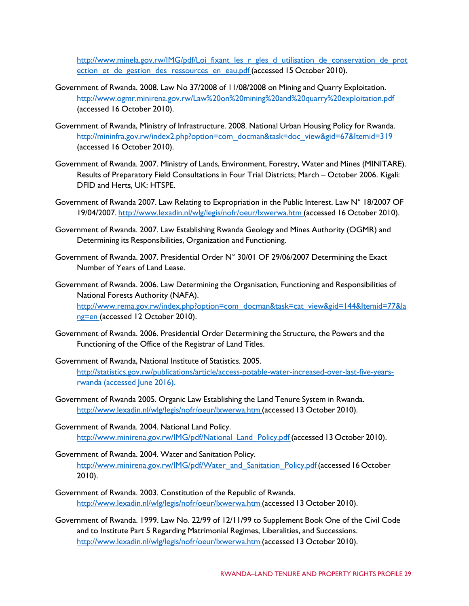http://www.minela.gov.rw/IMG/pdf/Loi fixant les r gles d utilisation de conservation de prot ection et de gestion des ressources en eau.pdf (accessed 15 October 2010).

- Government of Rwanda. 2008. Law No 37/2008 of 11/08/2008 on Mining and Quarry Exploitation. <http://www.ogmr.minirena.gov.rw/Law%20on%20mining%20and%20quarry%20exploitation.pdf> (accessed 16 October 2010).
- Government of Rwanda, Ministry of Infrastructure. 2008. National Urban Housing Policy for Rwanda. [http://mininfra.gov.rw/index2.php?option=com\\_docman&task=doc\\_view&gid=67&Itemid=319](http://mininfra.gov.rw/index2.php?option=com_docman&task=doc_view&gid=67&Itemid=319) (accessed 16 October 2010).
- Government of Rwanda. 2007. Ministry of Lands, Environment, Forestry, Water and Mines (MINITARE). Results of Preparatory Field Consultations in Four Trial Districts; March – October 2006. Kigali: DFID and Herts, UK: HTSPE.
- Government of Rwanda 2007. Law Relating to Expropriation in the Public Interest. Law N° 18/2007 OF 19/04/2007. <http://www.lexadin.nl/wlg/legis/nofr/oeur/lxwerwa.htm> (accessed 16 October 2010).
- Government of Rwanda. 2007. Law Establishing Rwanda Geology and Mines Authority (OGMR) and Determining its Responsibilities, Organization and Functioning.
- Government of Rwanda. 2007. Presidential Order N° 30/01 OF 29/06/2007 Determining the Exact Number of Years of Land Lease.
- Government of Rwanda. 2006. Law Determining the Organisation, Functioning and Responsibilities of National Forests Authority (NAFA). [http://www.rema.gov.rw/index.php?option=com\\_docman&task=cat\\_view&gid=144&Itemid=77&la](http://www.rema.gov.rw/index.php?option=com_docman&task=cat_view&gid=144&Itemid=77&lang=en) [ng=en](http://www.rema.gov.rw/index.php?option=com_docman&task=cat_view&gid=144&Itemid=77&lang=en) (accessed 12 October 2010).
- Government of Rwanda. 2006. Presidential Order Determining the Structure, the Powers and the Functioning of the Office of the Registrar of Land Titles.
- Government of Rwanda, National Institute of Statistics. 2005. [http://statistics.gov.rw/publications/article/access-potable-water-increased-over-last-five-years](http://statistics.gov.rw/publications/article/access-potable-water-increased-over-last-five-years-rwanda)[rwanda](http://statistics.gov.rw/publications/article/access-potable-water-increased-over-last-five-years-rwanda) (accessed June 2016).
- Government of Rwanda 2005. Organic Law Establishing the Land Tenure System in Rwanda. <http://www.lexadin.nl/wlg/legis/nofr/oeur/lxwerwa.htm> (accessed 13 October 2010).
- Government of Rwanda. 2004. National Land Policy. [http://www.minirena.gov.rw/IMG/pdf/National\\_Land\\_Policy.pdf](http://www.minirena.gov.rw/IMG/pdf/National_Land_Policy.pdf) (accessed 13 October 2010).
- Government of Rwanda. 2004. Water and Sanitation Policy. http://www.minirena.gov.rw/IMG/pdf/Water\_and\_Sanitation\_Policy.pdf (accessed 16 October 2010).
- Government of Rwanda. 2003. Constitution of the Republic of Rwanda. <http://www.lexadin.nl/wlg/legis/nofr/oeur/lxwerwa.htm> (accessed 13 October 2010).
- Government of Rwanda. 1999. Law No. 22/99 of 12/11/99 to Supplement Book One of the Civil Code and to Institute Part 5 Regarding Matrimonial Regimes, Liberalities, and Successions. <http://www.lexadin.nl/wlg/legis/nofr/oeur/lxwerwa.htm> (accessed 13 October 2010).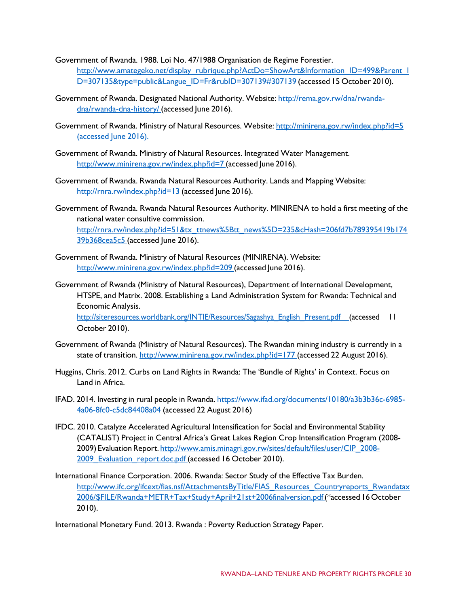Government of Rwanda. 1988. Loi No. 47/1988 Organisation de Regime Forestier. http://www.amategeko.net/display\_rubrique.php?ActDo=ShowArt&Information\_ID=499&Parent\_I [D=307135&type=public&Langue\\_ID=Fr&rubID=307139#307139](http://www.amategeko.net/display_rubrique.php?ActDo=ShowArt&Information_ID=499&Parent_ID=307135&type=public&Langue_ID=Fr&rubID=307139&307139) (accessed 15 October 2010).

- Government of Rwanda. Designated National Authority. Website: [http://rema.gov.rw/dna/rwanda](http://rema.gov.rw/dna/rwanda-dna/rwanda-dna-history/)[dna/rwanda-dna-history/](http://rema.gov.rw/dna/rwanda-dna/rwanda-dna-history/) (accessed June 2016).
- Government of Rwanda. Ministry of Natural Resources. Website: <http://minirena.gov.rw/index.php?id=5> (accessed June 2016).
- Government of Rwanda. Ministry of Natural Resources. Integrated Water Management. <http://www.minirena.gov.rw/index.php?id=7> (accessed June 2016).
- Government of Rwanda. Rwanda Natural Resources Authority. Lands and Mapping Website: <http://rnra.rw/index.php?id=13> (accessed June 2016).
- Government of Rwanda. Rwanda Natural Resources Authority. MINIRENA to hold a first meeting of the national water consultive commission. [http://rnra.rw/index.php?id=51&tx\\_ttnews%5Btt\\_news%5D=235&cHash=206fd7b789395419b174](http://rnra.rw/index.php?id=51&tx_ttnews%5Btt_news%5D=235&cHash=206fd7b789395419b17439b368cea5c5) [39b368cea5c5](http://rnra.rw/index.php?id=51&tx_ttnews%5Btt_news%5D=235&cHash=206fd7b789395419b17439b368cea5c5) (accessed June 2016).
- Government of Rwanda. Ministry of Natural Resources (MINIRENA). Website: <http://www.minirena.gov.rw/index.php?id=209> (accessed June 2016).
- Government of Rwanda (Ministry of Natural Resources), Department of International Development, HTSPE, and Matrix. 2008. Establishing a Land Administration System for Rwanda: Technical and Economic Analysis. http://siteresources.worldbank.org/INTIE/Resources/Sagashya English Present.pdf (accessed 11

October 2010).

- Government of Rwanda (Ministry of Natural Resources). The Rwandan mining industry is currently in a state of transition. <http://www.minirena.gov.rw/index.php?id=177> (accessed 22 August 2016).
- Huggins, Chris. 2012. Curbs on Land Rights in Rwanda: The 'Bundle of Rights' in Context. Focus on Land in Africa.
- IFAD. 2014. Investing in rural people in Rwanda. [https://www.ifad.org/documents/10180/a3b3b36c-6985-](https://www.ifad.org/documents/10180/a3b3b36c-6985-4a06-8fc0-c5dc84408a04) [4a06-8fc0-c5dc84408a04](https://www.ifad.org/documents/10180/a3b3b36c-6985-4a06-8fc0-c5dc84408a04) (accessed 22 August 2016)
- IFDC. 2010. Catalyze Accelerated Agricultural Intensification for Social and Environmental Stability (CATALIST) Project in Central Africa's Great Lakes Region Crop Intensification Program (2008 2009) Evaluation Report. [http://www.amis.minagri.gov.rw/sites/default/files/user/CIP\\_2008-](http://www.amis.minagri.gov.rw/sites/default/files/user/CIP_2008-2009_Evaluation_report.doc.pdf) 2009 Evaluation report.doc.pdf (accessed 16 October 2010).
- International Finance Corporation. 2006. Rwanda: Sector Study of the Effective Tax Burden. http://www.ifc.org/ifcext/fias.nsf/AttachmentsByTitle/FIAS\_Resources\_Countryreports\_Rwandatax [2006/\\$FILE/Rwanda+METR+Tax+Study+April+21st+2006finalversion.pdf\(](http://www.ifc.org/ifcext/fias.nsf/AttachmentsByTitle/FIAS_Resources_Countryreports_Rwandatax2006/%24FILE/Rwanda%2BMETR%2BTax%2BStudy%2BApril%2B21st%2B2006finalversion.pdf)\*accessed 16 October 2010).

International Monetary Fund. 2013. Rwanda : Poverty Reduction Strategy Paper.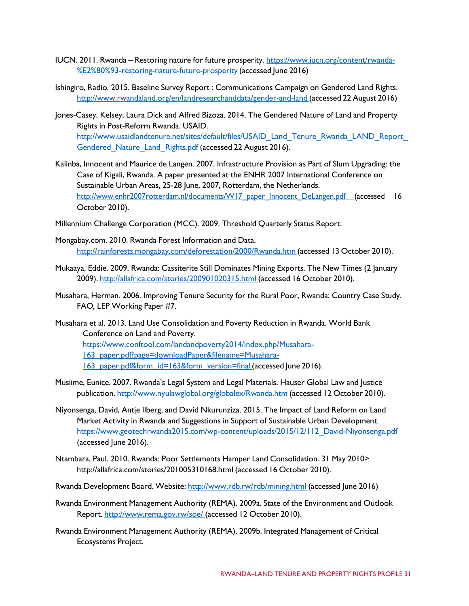- IUCN. 2011. Rwanda Restoring nature for future prosperity. [https://www.iucn.org/content/rwanda-](https://www.iucn.org/content/rwanda-%E2%80%93-restoring-nature-future-prosperity) [%E2%80%93-restoring-nature-future-prosperity](https://www.iucn.org/content/rwanda-%E2%80%93-restoring-nature-future-prosperity) (accessed June 2016)
- Ishingiro, Radio. 2015. Baseline Survey Report : Communications Campaign on Gendered Land Rights. <http://www.rwandaland.org/en/landresearchanddata/gender-and-land> (accessed 22 August 2016)
- Jones-Casey, Kelsey, Laura Dick and Alfred Bizoza. 2014. The Gendered Nature of Land and Property Rights in Post-Reform Rwanda. USAID. http://www.usaidlandtenure.net/sites/default/files/USAID\_Land\_Tenure\_Rwanda\_LAND\_Report Gendered Nature Land Rights.pdf (accessed 22 August 2016).
- Kalinba, Innocent and Maurice de Langen. 2007. Infrastructure Provision as Part of Slum Upgrading: the Case of Kigali, Rwanda. A paper presented at the ENHR 2007 International Conference on Sustainable Urban Areas, 25-28 June, 2007, Rotterdam, the Netherlands. [http://www.enhr2007rotterdam.nl/documents/W17\\_paper\\_Innocent\\_DeLangen.pdf \(](http://www.enhr2007rotterdam.nl/documents/W17_paper_Innocent_DeLangen.pdf)accessed 16 October 2010).
- Millennium Challenge Corporation (MCC). 2009. Threshold Quarterly Status Report.
- Mongabay.com. 2010. Rwanda Forest Information and Data. <http://rainforests.mongabay.com/deforestation/2000/Rwanda.htm> (accessed 13 October 2010).
- Mukaaya, Eddie. 2009. Rwanda: Cassiterite Still Dominates Mining Exports. The New Times (2 January 2009). <http://allafrica.com/stories/200901020315.html> (accessed 16 October 2010).
- Musahara, Herman. 2006. Improving Tenure Security for the Rural Poor, Rwanda: Country Case Study. FAO*,* LEP Working Paper #7.
- Musahara et al. 2013. Land Use Consolidation and Poverty Reduction in Rwanda. World Bank Conference on Land and Poverty.
	- [https://www.conftool.com/landandpoverty2014/index.php/Musahara-](https://www.conftool.com/landandpoverty2014/index.php/Musahara-163_paper.pdf?page=downloadPaper&filename=Musahara-163_paper.pdf&form_id=163&form_version=final)
	- [163\\_paper.pdf?page=downloadPaper&filename=Musahara-](https://www.conftool.com/landandpoverty2014/index.php/Musahara-163_paper.pdf?page=downloadPaper&filename=Musahara-163_paper.pdf&form_id=163&form_version=final)
	- 163 paper.pdf&form\_id=163&form\_version=final (accessed June 2016).
- Musiime, Eunice. 2007. Rwanda's Legal System and Legal Materials. Hauser Global Law and Justice publication. <http://www.nyulawglobal.org/globalex/Rwanda.htm> (accessed 12 October 2010).
- Niyonsenga, David, Antje Ilberg, and David Nkurunziza. 2015. The Impact of Land Reform on Land Market Activity in Rwanda and Suggestions in Support of Sustainable Urban Development. [https://www.geotechrwanda2015.com/wp-content/uploads/2015/12/112\\_David-Niyonsenga.pdf](https://www.geotechrwanda2015.com/wp-content/uploads/2015/12/112_David-Niyonsenga.pdf) (accessed June 2016).
- Ntambara, Paul. 2010. Rwanda: Poor Settlements Hamper Land Consolidation. 31 May 2010[>](http://allafrica.com/stories/201005310168.html) <http://allafrica.com/stories/201005310168.html> (accessed 16 October 2010).
- Rwanda Development Board. Website: <http://www.rdb.rw/rdb/mining.html> (accessed June 2016)
- Rwanda Environment Management Authority (REMA). 2009a. State of the Environment and Outlook Report. <http://www.rema.gov.rw/soe/> (accessed 12 October 2010).
- Rwanda Environment Management Authority (REMA). 2009b. Integrated Management of Critical Ecosystems Project.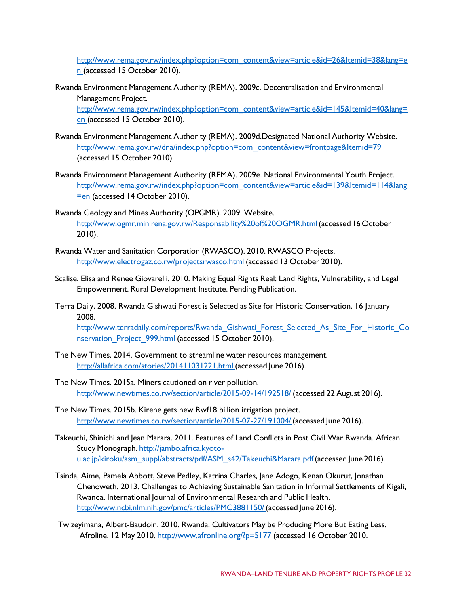[http://www.rema.gov.rw/index.php?option=com\\_content&view=article&id=26&Itemid=38&lang=e](http://www.rema.gov.rw/index.php?option=com_content&view=article&id=26&Itemid=38&lang=en) [n](http://www.rema.gov.rw/index.php?option=com_content&view=article&id=26&Itemid=38&lang=en) (accessed 15 October 2010).

Rwanda Environment Management Authority (REMA). 2009c. Decentralisation and Environmental Management Project.

[http://www.rema.gov.rw/index.php?option=com\\_content&view=article&id=145&Itemid=40&lang=](http://www.rema.gov.rw/index.php?option=com_content&view=article&id=145&Itemid=40&lang=en) [en](http://www.rema.gov.rw/index.php?option=com_content&view=article&id=145&Itemid=40&lang=en) (accessed 15 October 2010).

- Rwanda Environment Management Authority (REMA). 2009d.Designated National Authority Website. [http://www.rema.gov.rw/dna/index.php?option=com\\_content&view=frontpage&Itemid=79](http://www.rema.gov.rw/dna/index.php?option=com_content&view=frontpage&Itemid=79) (accessed 15 October 2010).
- Rwanda Environment Management Authority (REMA). 2009e. National Environmental Youth Project. [http://www.rema.gov.rw/index.php?option=com\\_content&view=article&id=139&Itemid=114&lang](http://www.rema.gov.rw/index.php?option=com_content&view=article&id=139&Itemid=114&lang=en) [=en](http://www.rema.gov.rw/index.php?option=com_content&view=article&id=139&Itemid=114&lang=en) (accessed 14 October 2010).
- Rwanda Geology and Mines Authority (OPGMR). 2009. Website. [http://www.ogmr.minirena.gov.rw/Responsability%20of%20OGMR.html\(](http://www.ogmr.minirena.gov.rw/Responsability%20of%20OGMR.html)accessed 16 October 2010).
- Rwanda Water and Sanitation Corporation (RWASCO). 2010. RWASCO Projects. <http://www.electrogaz.co.rw/projectsrwasco.html> (accessed 13 October 2010).
- Scalise, Elisa and Renee Giovarelli. 2010. Making Equal Rights Real: Land Rights, Vulnerability, and Legal Empowerment. Rural Development Institute. Pending Publication.
- Terra Daily. 2008. Rwanda Gishwati Forest is Selected as Site for Historic Conservation. 16 January 2008. http://www.terradaily.com/reports/Rwanda\_Gishwati\_Forest\_Selected\_As\_Site\_For\_Historic\_Co

nservation Project 999.html (accessed 15 October 2010).

- The New Times. 2014. Government to streamline water resources management. <http://allafrica.com/stories/201411031221.html> (accessed June 2016).
- The New Times. 2015a. Miners cautioned on river pollution. <http://www.newtimes.co.rw/section/article/2015-09-14/192518/> (accessed 22 August 2016).
- The New Times. 2015b. Kirehe gets new Rwf18 billion irrigation project. [http://www.newtimes.co.rw/section/article/2015-07-27/191004/\(](http://www.newtimes.co.rw/section/article/2015-07-27/191004/)accessed June 2016).
- Takeuchi, Shinichi and Jean Marara. 2011. Features of Land Conflicts in Post Civil War Rwanda. African Study Monograph. [http://jambo.africa.kyoto](http://jambo.africa.kyoto-u.ac.jp/kiroku/asm_suppl/abstracts/pdf/ASM_s42/Takeuchi%26Marara.pdf)u.ac.jp/kiroku/asm\_suppl/abstracts/pdf/ASM\_s42/Takeuchi&Marara.pdf (accessed June 2016).
- Tsinda, Aime, Pamela Abbott, Steve Pedley, Katrina Charles, Jane Adogo, Kenan Okurut, Jonathan Chenoweth. 2013. Challenges to Achieving Sustainable Sanitation in Informal Settlements of Kigali, Rwanda. International Journal of Environmental Research and Public Health. <http://www.ncbi.nlm.nih.gov/pmc/articles/PMC3881150/> (accessed June 2016).
- Twizeyimana, Albert-Baudoin. 2010. Rwanda: Cultivators May be Producing More But Eating Less. Afroline. 12 May 2010. <http://www.afronline.org/?p=5177> (accessed 16 October 2010.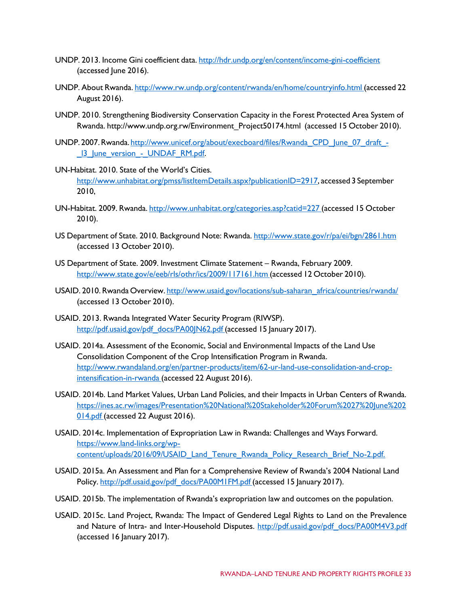- UNDP. 2013. Income Gini coefficient data. <http://hdr.undp.org/en/content/income-gini-coefficient> (accessed June 2016).
- UNDP. About Rwanda. <http://www.rw.undp.org/content/rwanda/en/home/countryinfo.html> (accessed 22 August 2016).
- UNDP. 2010. Strengthening Biodiversity Conservation Capacity in the Forest Protected Area System of Rwanda. [http://www.undp.org.rw/Environment\\_Project50174.html](http://www.undp.org.rw/Environment_Project50174.html) (accessed 15 October 2010).
- UNDP. 2007. Rwanda. [http://www.unicef.org/about/execboard/files/Rwanda\\_CPD\\_June\\_07\\_draft\\_-](http://www.unicef.org/about/execboard/files/Rwanda_CPD_June_07_draft_-_l3_June_version_-_UNDAF_RM.pdf) 13 June\_version - UNDAF\_RM.pdf.
- UN-Habitat. 2010. State of the World's Cities. [http://www.unhabitat.org/pmss/listItemDetails.aspx?publicationID=2917,](http://www.unhabitat.org/pmss/listItemDetails.aspx?publicationID=2917) accessed 3 September 2010,
- UN-Habitat. 2009. Rwanda. <http://www.unhabitat.org/categories.asp?catid=227> (accessed 15 October 2010).
- US Department of State. 2010. Background Note: Rwanda. <http://www.state.gov/r/pa/ei/bgn/2861.htm> (accessed 13 October 2010).
- US Department of State. 2009. Investment Climate Statement Rwanda, February 2009. <http://www.state.gov/e/eeb/rls/othr/ics/2009/117161.htm> (accessed 12 October 2010).
- USAID. 2010. Rwanda Overview. [http://www.usaid.gov/locations/sub-saharan\\_africa/countries/rwanda/](http://www.usaid.gov/locations/sub-saharan_africa/countries/rwanda/) (accessed 13 October 2010).
- USAID. 2013. Rwanda Integrated Water Security Program (RIWSP). [http://pdf.usaid.gov/pdf\\_docs/PA00JN62.pdf](http://pdf.usaid.gov/pdf_docs/PA00JN62.pdf) (accessed 15 January 2017).
- USAID. 2014a. Assessment of the Economic, Social and Environmental Impacts of the Land Use Consolidation Component of the Crop Intensification Program in Rwanda. [http://www.rwandaland.org/en/partner-products/item/62-ur-land-use-consolidation-and-crop](http://www.rwandaland.org/en/partner-products/item/62-ur-land-use-consolidation-and-crop-intensification-in-rwanda)[intensification-in-rwanda](http://www.rwandaland.org/en/partner-products/item/62-ur-land-use-consolidation-and-crop-intensification-in-rwanda) (accessed 22 August 2016).
- USAID. 2014b. Land Market Values, Urban Land Policies, and their Impacts in Urban Centers of Rwanda. [https://ines.ac.rw/images/Presentation%20National%20Stakeholder%20Forum%2027%20June%202](https://ines.ac.rw/images/Presentation%20National%20Stakeholder%20Forum%2027%20June%202014.pdf) [014.pdf](https://ines.ac.rw/images/Presentation%20National%20Stakeholder%20Forum%2027%20June%202014.pdf) (accessed 22 August 2016).
- USAID. 2014c. Implementation of Expropriation Law in Rwanda: Challenges and Ways Forward. [https://www.land-links.org/wp](https://www.land-links.org/wp-content/uploads/2016/09/USAID_Land_Tenure_Rwanda_Policy_Research_Brief_No-2.pdf)[content/uploads/2016/09/USAID\\_Land\\_Tenure\\_Rwanda\\_Policy\\_Research\\_Brief\\_No-2.pdf.](https://www.land-links.org/wp-content/uploads/2016/09/USAID_Land_Tenure_Rwanda_Policy_Research_Brief_No-2.pdf)
- USAID. 2015a. An Assessment and Plan for a Comprehensive Review of Rwanda's 2004 National Land Policy. [http://pdf.usaid.gov/pdf\\_docs/PA00M1FM.pdf](http://pdf.usaid.gov/pdf_docs/PA00M1FM.pdf) (accessed 15 January 2017).
- USAID. 2015b. The implementation of Rwanda's expropriation law and outcomes on the population.
- USAID. 2015c. Land Project, Rwanda: The Impact of Gendered Legal Rights to Land on the Prevalence and Nature of Intra- and Inter-Household Disputes. [http://pdf.usaid.gov/pdf\\_docs/PA00M4V3.pdf](http://pdf.usaid.gov/pdf_docs/PA00M4V3.pdf) (accessed 16 January 2017).